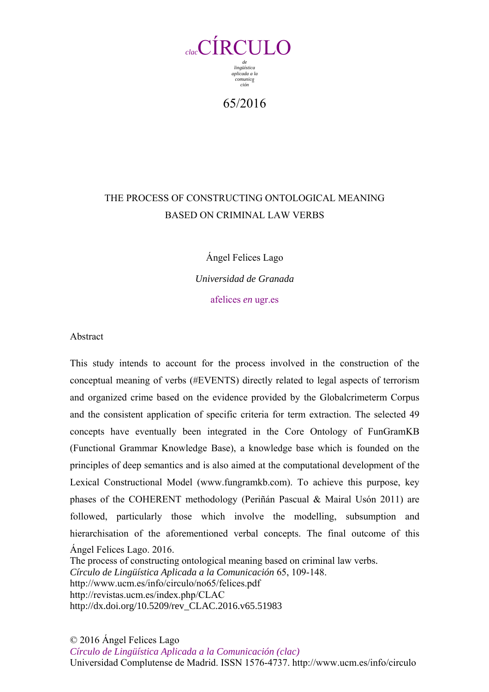

65/2016

## THE PROCESS OF CONSTRUCTING ONTOLOGICAL MEANING BASED ON CRIMINAL LAW VERBS

Ángel Felices Lago

*Universidad de Granada*  afelices *en* ugr.es

Abstract

Ángel Felices Lago. 2016. The process of constructing ontological meaning based on criminal law verbs. *Círculo de Lingüística Aplicada a la Comunicación* 65, 109-148. This study intends to account for the process involved in the construction of the conceptual meaning of verbs (#EVENTS) directly related to legal aspects of terrorism and organized crime based on the evidence provided by the Globalcrimeterm Corpus and the consistent application of specific criteria for term extraction. The selected 49 concepts have eventually been integrated in the Core Ontology of FunGramKB (Functional Grammar Knowledge Base), a knowledge base which is founded on the principles of deep semantics and is also aimed at the computational development of the Lexical Constructional Model (www.fungramkb.com). To achieve this purpose, key phases of the COHERENT methodology (Periñán Pascual & Mairal Usón 2011) are followed, particularly those which involve the modelling, subsumption and hierarchisation of the aforementioned verbal concepts. The final outcome of this

http://www.ucm.es/info/circulo/no65/felices.pdf http://revistas.ucm.es/index.php/CLAC http://dx.doi.org/10.5209/rev\_CLAC.2016.v65.51983

© 2016 Ángel Felices Lago

*Círculo de Lingüística Aplicada a la Comunicación (clac)* Universidad Complutense de Madrid. ISSN 1576-4737. http://www.ucm.es/info/circulo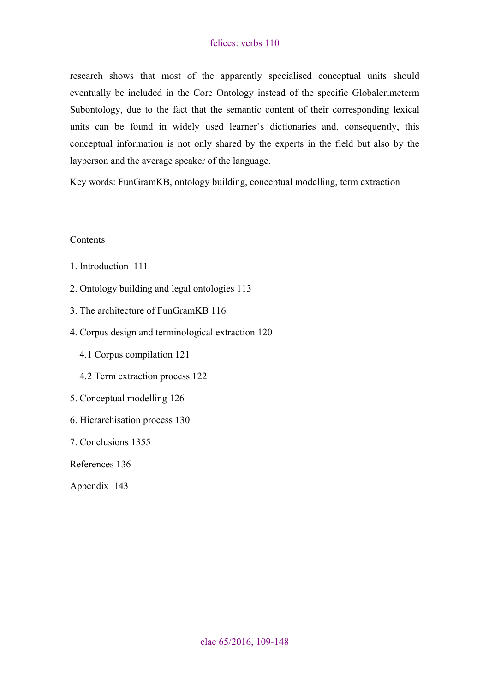research shows that most of the apparently specialised conceptual units should eventually be included in the Core Ontology instead of the specific Globalcrimeterm Subontology, due to the fact that the semantic content of their corresponding lexical units can be found in widely used learner`s dictionaries and, consequently, this conceptual information is not only shared by the experts in the field but also by the layperson and the average speaker of the language.

Key words: FunGramKB, ontology building, conceptual modelling, term extraction

#### **Contents**

- [1. Introduction 111](#page-2-0)
- [2. Ontology building and legal ontologies 113](#page-4-0)
- [3. The architecture of FunGramKB 116](#page-7-0)
- [4. Corpus design and terminological extraction 120](#page-11-0)
	- 4.1 [Corpus compilation 121](#page-12-0)
	- 4.2 [Term extraction process 122](#page-13-0)
- [5. Conceptual modelling 126](#page-17-0)
- [6. Hierarchisation process 130](#page-21-0)
- [7. Conclusions 1355](#page-26-0)

[References 136](#page-27-0)

[Appendix 143](#page-34-0)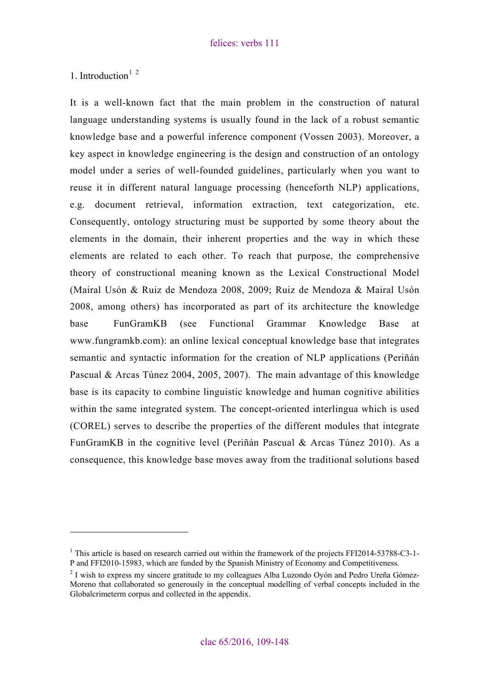<span id="page-2-0"></span>[1. Introduction](#page-2-1) $1^2$  $1^2$  $1^2$ 

 $\overline{a}$ 

It is a well-known fact that the main problem in the construction of natural language understanding systems is usually found in the lack of a robust semantic knowledge base and a powerful inference component (Vossen 2003). Moreover, a key aspect in knowledge engineering is the design and construction of an ontology model under a series of well-founded guidelines, particularly when you want to reuse it in different natural language processing (henceforth NLP) applications, e.g. document retrieval, information extraction, text categorization, etc. Consequently, ontology structuring must be supported by some theory about the elements in the domain, their inherent properties and the way in which these elements are related to each other. To reach that purpose, the comprehensive theory of constructional meaning known as the Lexical Constructional Model (Mairal Usón & Ruiz de Mendoza 2008, 2009; Ruiz de Mendoza & Mairal Usón 2008, among others) has incorporated as part of its architecture the knowledge base FunGramKB (see Functional Grammar Knowledge Base at [www.fungramkb.com](http://www.fungramkb.com/)): an online lexical conceptual knowledge base that integrates semantic and syntactic information for the creation of NLP applications (Periñán Pascual & Arcas Túnez 2004, 2005, 2007). The main advantage of this knowledge base is its capacity to combine linguistic knowledge and human cognitive abilities within the same integrated system. The concept-oriented interlingua which is used (COREL) serves to describe the properties of the different modules that integrate FunGramKB in the cognitive level (Periñán Pascual & Arcas Túnez 2010). As a consequence, this knowledge base moves away from the traditional solutions based

<span id="page-2-1"></span><sup>&</sup>lt;sup>1</sup> This article is based on research carried out within the framework of the projects FFI2014-53788-C3-1-P and FFI2010-15983, which are funded by the Spanish Ministry of Economy and Competitiveness. 2

<span id="page-2-2"></span> $2$  I wish to express my sincere gratitude to my colleagues Alba Luzondo Oyón and Pedro Ureña Gómez-Moreno that collaborated so generously in the conceptual modelling of verbal concepts included in the Globalcrimeterm corpus and collected in the appendix.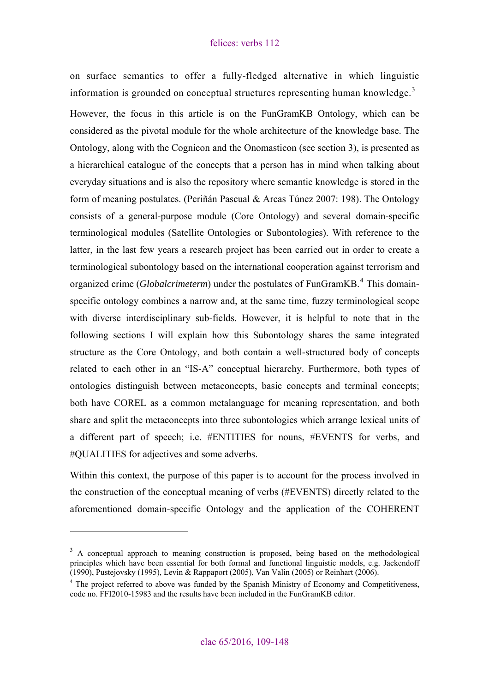on surface semantics to offer a fully-fledged alternative in which linguistic information is grounded on conceptual structures representing human knowledge.<sup>[3](#page-3-0)</sup>

However, the focus in this article is on the FunGramKB Ontology, which can be considered as the pivotal module for the whole architecture of the knowledge base. The Ontology, along with the Cognicon and the Onomasticon (see section 3), is presented as a hierarchical catalogue of the concepts that a person has in mind when talking about everyday situations and is also the repository where semantic knowledge is stored in the form of meaning postulates. (Periñán Pascual & Arcas Túnez 2007: 198). The Ontology consists of a general-purpose module (Core Ontology) and several domain-specific terminological modules (Satellite Ontologies or Subontologies). With reference to the latter, in the last few years a research project has been carried out in order to create a terminological subontology based on the international cooperation against terrorism and organized crime (*Globalcrimeterm*) under the postulates of FunGramKB.<sup>[4](#page-3-1)</sup> This domainspecific ontology combines a narrow and, at the same time, fuzzy terminological scope with diverse interdisciplinary sub-fields. However, it is helpful to note that in the following sections I will explain how this Subontology shares the same integrated structure as the Core Ontology, and both contain a well-structured body of concepts related to each other in an "IS-A" conceptual hierarchy. Furthermore, both types of ontologies distinguish between metaconcepts, basic concepts and terminal concepts; both have COREL as a common metalanguage for meaning representation, and both share and split the metaconcepts into three subontologies which arrange lexical units of a different part of speech; i.e. #ENTITIES for nouns, #EVENTS for verbs, and #QUALITIES for adjectives and some adverbs.

Within this context, the purpose of this paper is to account for the process involved in the construction of the conceptual meaning of verbs (#EVENTS) directly related to the aforementioned domain-specific Ontology and the application of the COHERENT

<span id="page-3-0"></span> $3 \text{ A}$  conceptual approach to meaning construction is proposed, being based on the methodological principles which have been essential for both formal and functional linguistic models, e.g. Jackendoff (1990), Pustejovsky (1995), Levin & Rappaport (2005), Van Valin (2005) or Reinhart (2006).

<span id="page-3-1"></span><sup>&</sup>lt;sup>4</sup> The project referred to above was funded by the Spanish Ministry of Economy and Competitiveness, code no. FFI2010-15983 and the results have been included in the FunGramKB editor.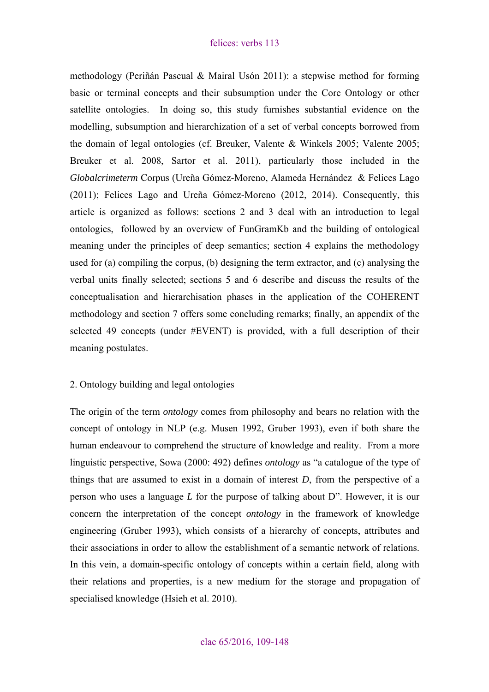<span id="page-4-0"></span>methodology (Periñán Pascual & Mairal Usón 2011): a stepwise method for forming basic or terminal concepts and their subsumption under the Core Ontology or other satellite ontologies. In doing so, this study furnishes substantial evidence on the modelling, subsumption and hierarchization of a set of verbal concepts borrowed from the domain of legal ontologies (cf. Breuker, Valente & Winkels 2005; Valente 2005; Breuker et al. 2008, Sartor et al. 2011), particularly those included in the *Globalcrimeterm* Corpus (Ureña Gómez-Moreno, Alameda Hernández & Felices Lago (2011); Felices Lago and Ureña Gómez-Moreno (2012, 2014). Consequently, this article is organized as follows: sections 2 and 3 deal with an introduction to legal ontologies, followed by an overview of FunGramKb and the building of ontological meaning under the principles of deep semantics; section 4 explains the methodology used for (a) compiling the corpus, (b) designing the term extractor, and (c) analysing the verbal units finally selected; sections 5 and 6 describe and discuss the results of the conceptualisation and hierarchisation phases in the application of the COHERENT methodology and section 7 offers some concluding remarks; finally, an appendix of the selected 49 concepts (under #EVENT) is provided, with a full description of their meaning postulates.

## 2. Ontology building and legal ontologies

The origin of the term *ontology* comes from philosophy and bears no relation with the concept of ontology in NLP (e.g. Musen 1992, Gruber 1993), even if both share the human endeavour to comprehend the structure of knowledge and reality. From a more linguistic perspective, Sowa (2000: 492) defines *ontology* as "a catalogue of the type of things that are assumed to exist in a domain of interest *D*, from the perspective of a person who uses a language *L* for the purpose of talking about D". However, it is our concern the interpretation of the concept *ontology* in the framework of knowledge engineering (Gruber 1993), which consists of a hierarchy of concepts, attributes and their associations in order to allow the establishment of a semantic network of relations. In this vein, a domain-specific ontology of concepts within a certain field, along with their relations and properties, is a new medium for the storage and propagation of specialised knowledge (Hsieh et al. 2010).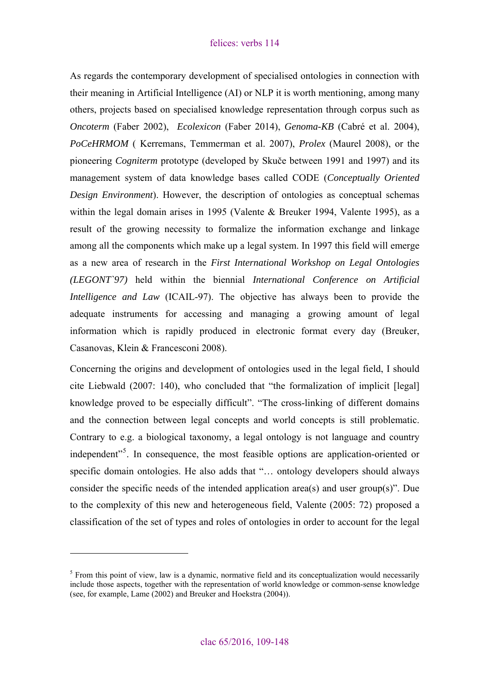As regards the contemporary development of specialised ontologies in connection with their meaning in Artificial Intelligence (AI) or NLP it is worth mentioning, among many others, projects based on specialised knowledge representation through corpus such as *Oncoterm* (Faber 2002), *Ecolexicon* (Faber 2014), *Genoma-KB* (Cabré et al. 2004), *[PoCeHRMOM](http://research.vub.ac.be/centrum-vaktaal-communicatie/pocehrmom)* ( Kerremans, Temmerman et al. 2007), *Prolex* (Maurel 2008), or the pioneering *Cogniterm* prototype (developed by Skuče between 1991 and 1997) and its management system of data knowledge bases called CODE (*Conceptually Oriented Design Environment*). However, the description of ontologies as conceptual schemas within the legal domain arises in 1995 (Valente & Breuker 1994, Valente 1995), as a result of the growing necessity to formalize the information exchange and linkage among all the components which make up a legal system. In 1997 this field will emerge as a new area of research in the *First International Workshop on Legal Ontologies (LEGONT`97)* held within the biennial *International Conference on Artificial Intelligence and Law* (ICAIL-97). The objective has always been to provide the adequate instruments for accessing and managing a growing amount of legal information which is rapidly produced in electronic format every day (Breuker, Casanovas, Klein & Francesconi 2008).

Concerning the origins and development of ontologies used in the legal field, I should cite Liebwald (2007: 140), who concluded that "the formalization of implicit [legal] knowledge proved to be especially difficult". "The cross-linking of different domains and the connection between legal concepts and world concepts is still problematic. Contrary to e.g. a biological taxonomy, a legal ontology is not language and country independent"<sup>[5](#page-5-0)</sup>. In consequence, the most feasible options are application-oriented or specific domain ontologies. He also adds that "... ontology developers should always consider the specific needs of the intended application area(s) and user group(s)". Due to the complexity of this new and heterogeneous field, Valente (2005: 72) proposed a classification of the set of types and roles of ontologies in order to account for the legal

<span id="page-5-0"></span><sup>&</sup>lt;sup>5</sup> From this point of view, law is a dynamic, normative field and its conceptualization would necessarily include those aspects, together with the representation of world knowledge or common-sense knowledge (see, for example, Lame (2002) and Breuker and Hoekstra (2004)).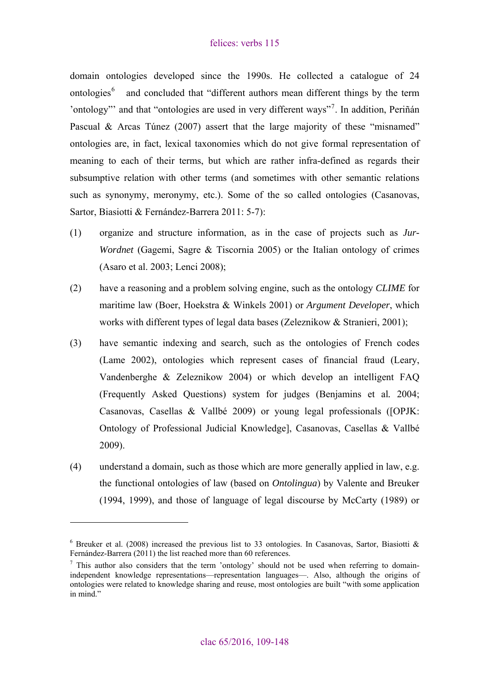domain ontologies developed since the 1990s. He collected a catalogue of 24 ontologies<sup>[6](#page-6-0)</sup> and concluded that "different authors mean different things by the term 'ontology''' and that "ontologies are used in very different ways"<sup>[7](#page-6-1)</sup>. In addition, Periñán Pascual & Arcas Túnez (2007) assert that the large majority of these "misnamed" ontologies are, in fact, lexical taxonomies which do not give formal representation of meaning to each of their terms, but which are rather infra-defined as regards their subsumptive relation with other terms (and sometimes with other semantic relations such as synonymy, meronymy, etc.). Some of the so called ontologies (Casanovas, Sartor, Biasiotti & Fernández-Barrera 2011: 5-7):

- (1) organize and structure information, as in the case of projects such as *Jur-Wordnet* (Gagemi, Sagre & Tiscornia 2005) or the Italian ontology of crimes (Asaro et al. 2003; Lenci 2008);
- (2) have a reasoning and a problem solving engine, such as the ontology *CLIME* for maritime law (Boer, Hoekstra & Winkels 2001) or *Argument Developer*, which works with different types of legal data bases (Zeleznikow & Stranieri, 2001);
- (3) have semantic indexing and search, such as the ontologies of French codes (Lame 2002), ontologies which represent cases of financial fraud (Leary, Vandenberghe & Zeleznikow 2004) or which develop an intelligent FAQ (Frequently Asked Questions) system for judges (Benjamins et al*.* 2004; Casanovas, Casellas & Vallbé 2009) or young legal professionals ([OPJK: Ontology of Professional Judicial Knowledge], Casanovas, Casellas & Vallbé 2009).
- (4) understand a domain*,* such as those which are more generally applied in law, e.g. the functional ontologies of law (based on *Ontolingua*) by Valente and Breuker (1994, 1999), and those of language of legal discourse by McCarty (1989) or

<span id="page-6-0"></span> $6$  Breuker et al. (2008) increased the previous list to 33 ontologies. In Casanovas, Sartor, Biasiotti & Fernández-Barrera (2011) the list reached more than 60 references.

<span id="page-6-1"></span> $\frac{7}{1}$  This author also considers that the term 'ontology' should not be used when referring to domainindependent knowledge representations—representation languages—. Also, although the origins of ontologies were related to knowledge sharing and reuse, most ontologies are built "with some application in mind."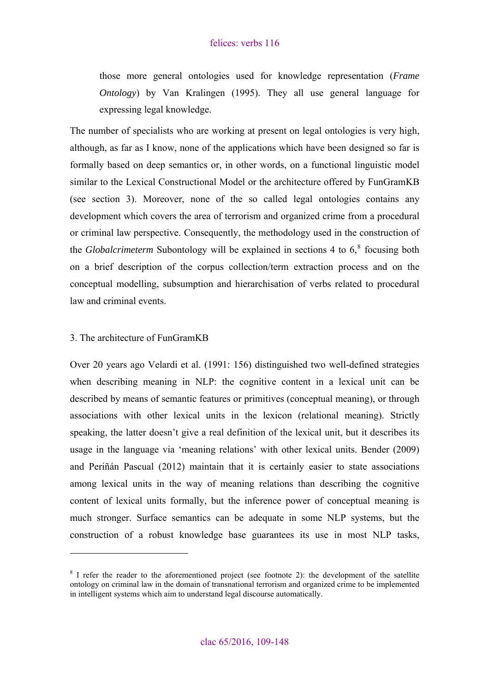<span id="page-7-0"></span>those more general ontologies used for knowledge representation (*Frame Ontology*) by Van Kralingen (1995). They all use general language for expressing legal knowledge.

The number of specialists who are working at present on legal ontologies is very high, although, as far as I know, none of the applications which have been designed so far is formally based on deep semantics or, in other words, on a functional linguistic model similar to the Lexical Constructional Model or the architecture offered by FunGramKB (see section 3). Moreover, none of the so called legal ontologies contains any development which covers the area of terrorism and organized crime from a procedural or criminal law perspective. Consequently, the methodology used in the construction of the *Globalcrimeterm* Subontology will be explained in sections 4 to  $6<sup>8</sup>$  $6<sup>8</sup>$  $6<sup>8</sup>$  focusing both on a brief description of the corpus collection/term extraction process and on the conceptual modelling, subsumption and hierarchisation of verbs related to procedural law and criminal events.

#### 3. The architecture of FunGramKB

 $\overline{a}$ 

Over 20 years ago Velardi et al. (1991: 156) distinguished two well-defined strategies when describing meaning in NLP: the cognitive content in a lexical unit can be described by means of semantic features or primitives (conceptual meaning), or through associations with other lexical units in the lexicon (relational meaning). Strictly speaking, the latter doesn't give a real definition of the lexical unit, but it describes its usage in the language via 'meaning relations' with other lexical units. Bender (2009) and Periñán Pascual (2012) maintain that it is certainly easier to state associations among lexical units in the way of meaning relations than describing the cognitive content of lexical units formally, but the inference power of conceptual meaning is much stronger. Surface semantics can be adequate in some NLP systems, but the construction of a robust knowledge base guarantees its use in most NLP tasks,

<span id="page-7-1"></span> $8$  I refer the reader to the aforementioned project (see footnote 2): the development of the satellite ontology on criminal law in the domain of transnational terrorism and organized crime to be implemented in intelligent systems which aim to understand legal discourse automatically.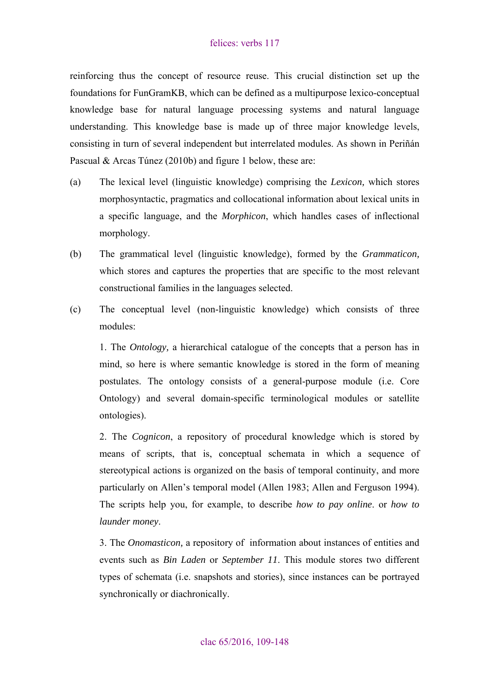reinforcing thus the concept of resource reuse. This crucial distinction set up the foundations for FunGramKB, which can be defined as a multipurpose lexico-conceptual knowledge base for natural language processing systems and natural language understanding. This knowledge base is made up of three major knowledge levels, consisting in turn of several independent but interrelated modules. As shown in Periñán Pascual & Arcas Túnez (2010b) and figure 1 below, these are:

- (a) The lexical level (linguistic knowledge) comprising the *Lexicon,* which stores morphosyntactic, pragmatics and collocational information about lexical units in a specific language, and the *Morphicon*, which handles cases of inflectional morphology.
- (b) The grammatical level (linguistic knowledge), formed by the *Grammaticon,*  which stores and captures the properties that are specific to the most relevant constructional families in the languages selected.
- (c) The conceptual level (non-linguistic knowledge) which consists of three modules:

1. The *Ontology,* a hierarchical catalogue of the concepts that a person has in mind, so here is where semantic knowledge is stored in the form of meaning postulates. The ontology consists of a general-purpose module (i.e. Core Ontology) and several domain-specific terminological modules or satellite ontologies).

2. The *Cognicon*, a repository of procedural knowledge which is stored by means of scripts, that is, conceptual schemata in which a sequence of stereotypical actions is organized on the basis of temporal continuity, and more particularly on Allen's temporal model (Allen 1983; Allen and Ferguson 1994). The scripts help you, for example, to describe *how to pay online*. or *how to launder money*.

3. The *Onomasticon,* a repository of information about instances of entities and events such as *Bin Laden* or *September 11*. This module stores two different types of schemata (i.e. snapshots and stories), since instances can be portrayed synchronically or diachronically.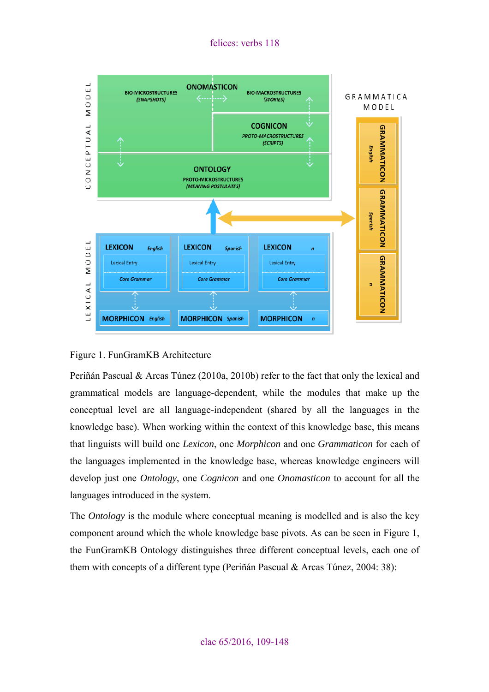felices: verbs 118



#### Figure 1. FunGramKB Architecture

Periñán Pascual & Arcas Túnez (2010a, 2010b) refer to the fact that only the lexical and grammatical models are language-dependent, while the modules that make up the conceptual level are all language-independent (shared by all the languages in the knowledge base). When working within the context of this knowledge base, this means that linguists will build one *Lexicon*, one *Morphicon* and one *Grammaticon* for each of the languages implemented in the knowledge base, whereas knowledge engineers will develop just one *Ontology*, one *Cognicon* and one *Onomasticon* to account for all the languages introduced in the system.

The *Ontology* is the module where conceptual meaning is modelled and is also the key component around which the whole knowledge base pivots. As can be seen in Figure 1, the FunGramKB Ontology distinguishes three different conceptual levels, each one of them with concepts of a different type (Periñán Pascual & Arcas Túnez, 2004: 38):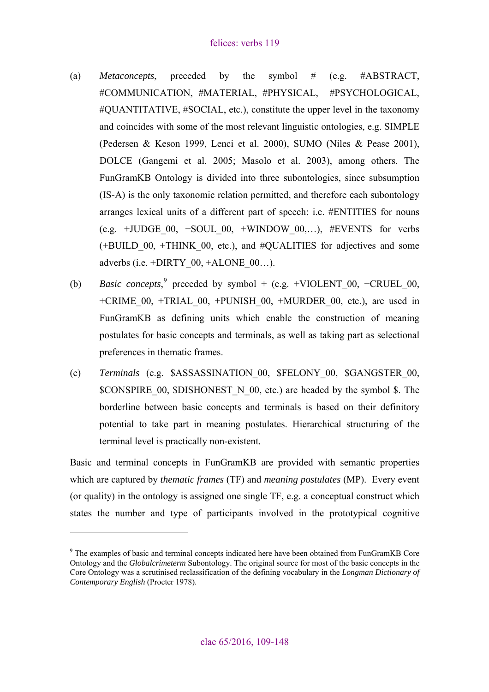- (a) *Metaconcepts*, preceded by the symbol # (e.g. #ABSTRACT, #COMMUNICATION, #MATERIAL, #PHYSICAL, #PSYCHOLOGICAL, #QUANTITATIVE, #SOCIAL, etc.), constitute the upper level in the taxonomy and coincides with some of the most relevant linguistic ontologies, e.g. SIMPLE (Pedersen & Keson 1999, Lenci et al. 2000), SUMO (Niles & Pease 2001), DOLCE (Gangemi et al. 2005; Masolo et al. 2003), among others. The FunGramKB Ontology is divided into three subontologies, since subsumption (IS-A) is the only taxonomic relation permitted, and therefore each subontology arranges lexical units of a different part of speech: i.e. #ENTITIES for nouns (e.g. +JUDGE  $00, +S$ OUL  $00, +W$ INDOW  $00,...)$ , #EVENTS for verbs (+BUILD\_00, +THINK\_00, etc.), and #QUALITIES for adjectives and some adverbs (i.e.  $+DIRTY$  00,  $+ALONE$  00...).
- (b) *Basic concepts*,<sup>[9](#page-10-0)</sup> preceded by symbol + (e.g. +VIOLENT\_00, +CRUEL\_00, +CRIME\_00, +TRIAL\_00, +PUNISH\_00, +MURDER\_00, etc.), are used in FunGramKB as defining units which enable the construction of meaning postulates for basic concepts and terminals, as well as taking part as selectional preferences in thematic frames.
- (c) *Terminals* (e.g. \$ASSASSINATION\_00, \$FELONY\_00, \$GANGSTER\_00, \$CONSPIRE 00, \$DISHONEST N 00, etc.) are headed by the symbol \$. The borderline between basic concepts and terminals is based on their definitory potential to take part in meaning postulates. Hierarchical structuring of the terminal level is practically non-existent.

Basic and terminal concepts in FunGramKB are provided with semantic properties which are captured by *thematic frames* (TF) and *meaning postulates* (MP). Every event (or quality) in the ontology is assigned one single TF, e.g. a conceptual construct which states the number and type of participants involved in the prototypical cognitive

<span id="page-10-0"></span><sup>&</sup>lt;sup>9</sup> The examples of basic and terminal concepts indicated here have been obtained from FunGramKB Core Ontology and the *Globalcrimeterm* Subontology. The original source for most of the basic concepts in the Core Ontology was a scrutinised reclassification of the defining vocabulary in the *Longman Dictionary of Contemporary English* (Procter 1978).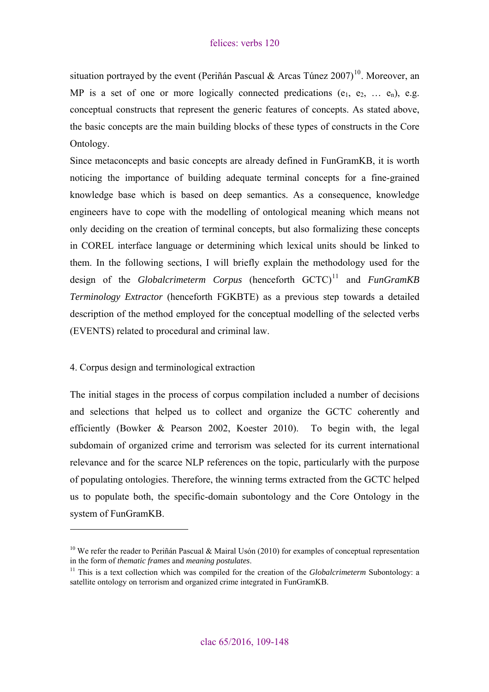<span id="page-11-0"></span>situation portrayed by the event (Periñán Pascual & Arcas Túnez 2007)<sup>[10](#page-11-1)</sup>. Moreover, an MP is a set of one or more logically connected predications  $(e_1, e_2, \ldots, e_n)$ , e.g. conceptual constructs that represent the generic features of concepts. As stated above, the basic concepts are the main building blocks of these types of constructs in the Core Ontology.

Since metaconcepts and basic concepts are already defined in FunGramKB, it is worth noticing the importance of building adequate terminal concepts for a fine-grained knowledge base which is based on deep semantics. As a consequence, knowledge engineers have to cope with the modelling of ontological meaning which means not only deciding on the creation of terminal concepts, but also formalizing these concepts in COREL interface language or determining which lexical units should be linked to them. In the following sections, I will briefly explain the methodology used for the design of the *Globalcrimeterm Corpus* (henceforth GCTC)<sup>[11](#page-11-2)</sup> and *FunGramKB Terminology Extractor* (henceforth FGKBTE) as a previous step towards a detailed description of the method employed for the conceptual modelling of the selected verbs (EVENTS) related to procedural and criminal law.

## 4. Corpus design and terminological extraction

 $\overline{a}$ 

The initial stages in the process of corpus compilation included a number of decisions and selections that helped us to collect and organize the GCTC coherently and efficiently (Bowker & Pearson 2002, Koester 2010). To begin with, the legal subdomain of organized crime and terrorism was selected for its current international relevance and for the scarce NLP references on the topic, particularly with the purpose of populating ontologies. Therefore, the winning terms extracted from the GCTC helped us to populate both, the specific-domain subontology and the Core Ontology in the system of FunGramKB.

<span id="page-11-1"></span><sup>&</sup>lt;sup>10</sup> We refer the reader to Periñán Pascual & Mairal Usón (2010) for examples of conceptual representation in the form of *thematic frames* and *meaning postulates*. 11 This is a text collection which was compiled for the creation of the *Globalcrimeterm* Subontology: a

<span id="page-11-2"></span>satellite ontology on terrorism and organized crime integrated in FunGramKB.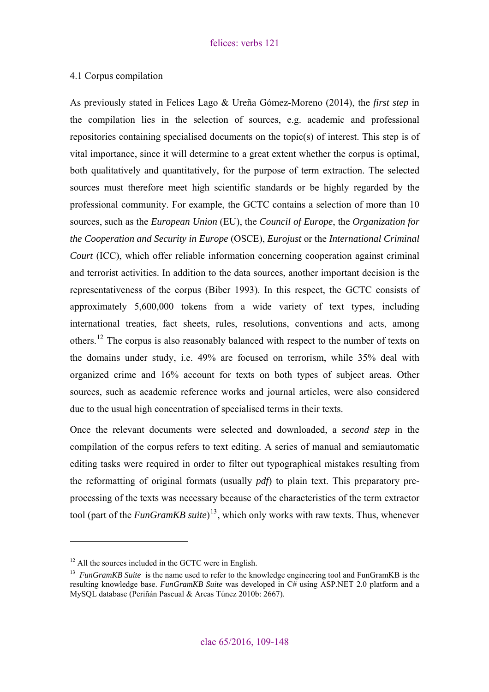### <span id="page-12-0"></span>4.1 Corpus compilation

As previously stated in Felices Lago & Ureña Gómez-Moreno (2014), the *first step* in the compilation lies in the selection of sources, e.g. academic and professional repositories containing specialised documents on the topic(s) of interest. This step is of vital importance, since it will determine to a great extent whether the corpus is optimal, both qualitatively and quantitatively, for the purpose of term extraction. The selected sources must therefore meet high scientific standards or be highly regarded by the professional community. For example, the GCTC contains a selection of more than 10 sources, such as the *European Union* (EU), the *Council of Europe*, the *Organization for the Cooperation and Security in Europe* (OSCE), *Eurojust* or the *International Criminal Court* (ICC), which offer reliable information concerning cooperation against criminal and terrorist activities. In addition to the data sources, another important decision is the representativeness of the corpus (Biber 1993). In this respect, the GCTC consists of approximately 5,600,000 tokens from a wide variety of text types, including international treaties, fact sheets, rules, resolutions, conventions and acts, among others.<sup>[12](#page-12-1)</sup> The corpus is also reasonably balanced with respect to the number of texts on the domains under study, i.e. 49% are focused on terrorism, while 35% deal with organized crime and 16% account for texts on both types of subject areas. Other sources, such as academic reference works and journal articles, were also considered due to the usual high concentration of specialised terms in their texts.

Once the relevant documents were selected and downloaded, a *second step* in the compilation of the corpus refers to text editing. A series of manual and semiautomatic editing tasks were required in order to filter out typographical mistakes resulting from the reformatting of original formats (usually *pdf*) to plain text. This preparatory preprocessing of the texts was necessary because of the characteristics of the term extractor tool (part of the *FunGramKB suite*) [13](#page-12-2), which only works with raw texts. Thus, whenever

<span id="page-12-1"></span> $12$  All the sources included in the GCTC were in English.

<span id="page-12-2"></span><sup>&</sup>lt;sup>13</sup> *FunGramKB Suite* is the name used to refer to the knowledge engineering tool and FunGramKB is the resulting knowledge base. *FunGramKB Suite* was developed in C# using ASP.NET 2.0 platform and a MySQL database (Periñán Pascual & Arcas Túnez 2010b: 2667).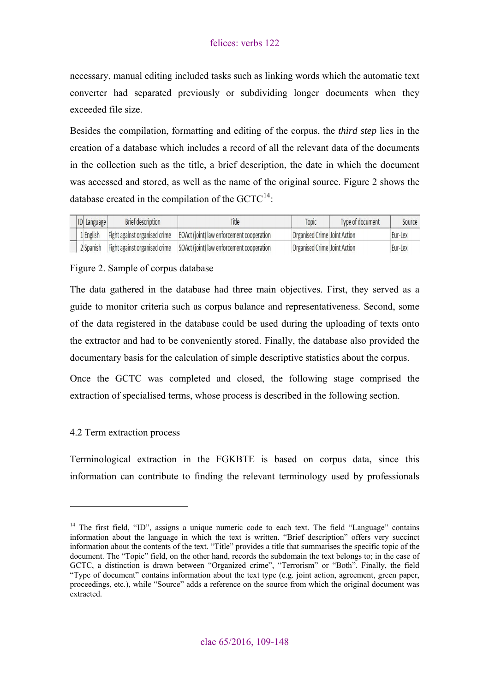<span id="page-13-0"></span>necessary, manual editing included tasks such as linking words which the automatic text converter had separated previously or subdividing longer documents when they exceeded file size.

Besides the compilation, formatting and editing of the corpus, the *third step* lies in the creation of a database which includes a record of all the relevant data of the documents in the collection such as the title, a brief description, the date in which the document was accessed and stored, as well as the name of the original source. Figure 2 shows the database created in the compilation of the  $GCTC^{14}$  $GCTC^{14}$  $GCTC^{14}$ :

|  | <b>ID</b> Language | <b>Brief description</b>      | Title                                     | Topic                        | Type of document | Source  |
|--|--------------------|-------------------------------|-------------------------------------------|------------------------------|------------------|---------|
|  | 1 English          | Fight against organised crime | EOAct (joint) law enforcement cooperation | Organised Crime Joint Action |                  | Eur-Lex |
|  | 2 Spanish          | Fight against organised crime | SOAct (joint) law enforcement cooperation | Organised Crime Joint Action |                  | Eur-Lex |

## Figure 2. Sample of corpus database

The data gathered in the database had three main objectives. First, they served as a guide to monitor criteria such as corpus balance and representativeness. Second, some of the data registered in the database could be used during the uploading of texts onto the extractor and had to be conveniently stored. Finally, the database also provided the documentary basis for the calculation of simple descriptive statistics about the corpus.

Once the GCTC was completed and closed, the following stage comprised the extraction of specialised terms, whose process is described in the following section.

## 4.2 Term extraction process

 $\overline{a}$ 

Terminological extraction in the FGKBTE is based on corpus data, since this information can contribute to finding the relevant terminology used by professionals

<span id="page-13-1"></span><sup>&</sup>lt;sup>14</sup> The first field, "ID", assigns a unique numeric code to each text. The field "Language" contains information about the language in which the text is written. "Brief description" offers very succinct information about the contents of the text. "Title" provides a title that summarises the specific topic of the document. The "Topic" field, on the other hand, records the subdomain the text belongs to; in the case of GCTC, a distinction is drawn between "Organized crime", "Terrorism" or "Both". Finally, the field "Type of document" contains information about the text type (e.g. joint action, agreement, green paper, proceedings, etc.), while "Source" adds a reference on the source from which the original document was extracted.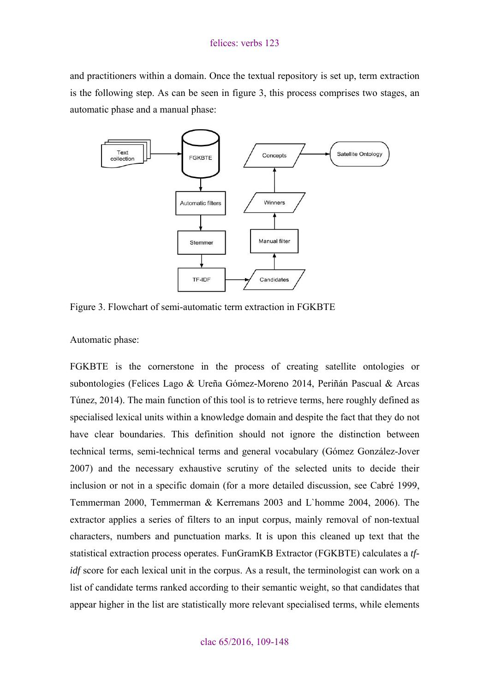and practitioners within a domain. Once the textual repository is set up, term extraction is the following step. As can be seen in figure 3, this process comprises two stages, an automatic phase and a manual phase:



Figure 3. Flowchart of semi-automatic term extraction in FGKBTE

Automatic phase:

FGKBTE is the cornerstone in the process of creating satellite ontologies or subontologies (Felices Lago & Ureña Gómez-Moreno 2014, Periñán Pascual & Arcas Túnez, 2014). The main function of this tool is to retrieve terms, here roughly defined as specialised lexical units within a knowledge domain and despite the fact that they do not have clear boundaries. This definition should not ignore the distinction between technical terms, semi-technical terms and general vocabulary (Gómez González-Jover 2007) and the necessary exhaustive scrutiny of the selected units to decide their inclusion or not in a specific domain (for a more detailed discussion, see Cabré 1999, Temmerman 2000, Temmerman & Kerremans 2003 and L`homme 2004, 2006). The extractor applies a series of filters to an input corpus, mainly removal of non-textual characters, numbers and punctuation marks. It is upon this cleaned up text that the statistical extraction process operates. FunGramKB Extractor (FGKBTE) calculates a *tfidf* score for each lexical unit in the corpus. As a result, the terminologist can work on a list of candidate terms ranked according to their semantic weight, so that candidates that appear higher in the list are statistically more relevant specialised terms, while elements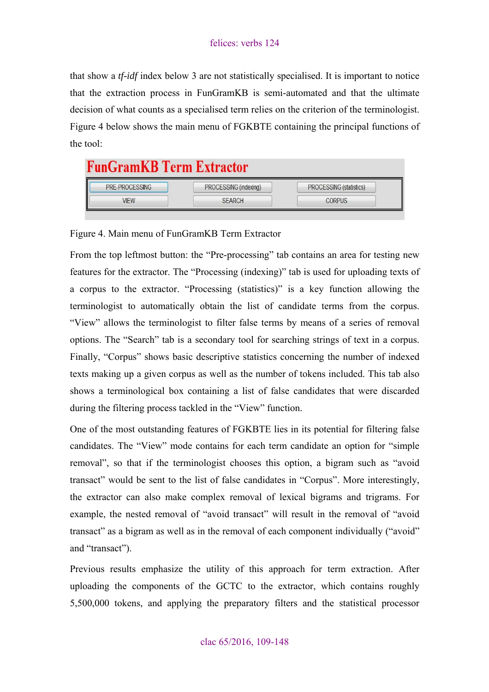that show a *tf-idf* index below 3 are not statistically specialised. It is important to notice that the extraction process in FunGramKB is semi-automated and that the ultimate decision of what counts as a specialised term relies on the criterion of the terminologist. Figure 4 below shows the main menu of FGKBTE containing the principal functions of the tool:

# **FunGramKB Term Extractor**

| <b>PRE-PROCESSING</b> | PROCESSING (indexing) | <b>PROCESSING (statistics)</b> |
|-----------------------|-----------------------|--------------------------------|
| VIEW                  | <b>SEARCH</b>         | ORPUS                          |

Figure 4. Main menu of FunGramKB Term Extractor

From the top leftmost button: the "Pre-processing" tab contains an area for testing new features for the extractor. The "Processing (indexing)" tab is used for uploading texts of a corpus to the extractor. "Processing (statistics)" is a key function allowing the terminologist to automatically obtain the list of candidate terms from the corpus. "View" allows the terminologist to filter false terms by means of a series of removal options. The "Search" tab is a secondary tool for searching strings of text in a corpus. Finally, "Corpus" shows basic descriptive statistics concerning the number of indexed texts making up a given corpus as well as the number of tokens included. This tab also shows a terminological box containing a list of false candidates that were discarded during the filtering process tackled in the "View" function.

One of the most outstanding features of FGKBTE lies in its potential for filtering false candidates. The "View" mode contains for each term candidate an option for "simple removal", so that if the terminologist chooses this option, a bigram such as "avoid transact" would be sent to the list of false candidates in "Corpus". More interestingly, the extractor can also make complex removal of lexical bigrams and trigrams. For example, the nested removal of "avoid transact" will result in the removal of "avoid transact" as a bigram as well as in the removal of each component individually ("avoid" and "transact").

Previous results emphasize the utility of this approach for term extraction. After uploading the components of the GCTC to the extractor, which contains roughly 5,500,000 tokens, and applying the preparatory filters and the statistical processor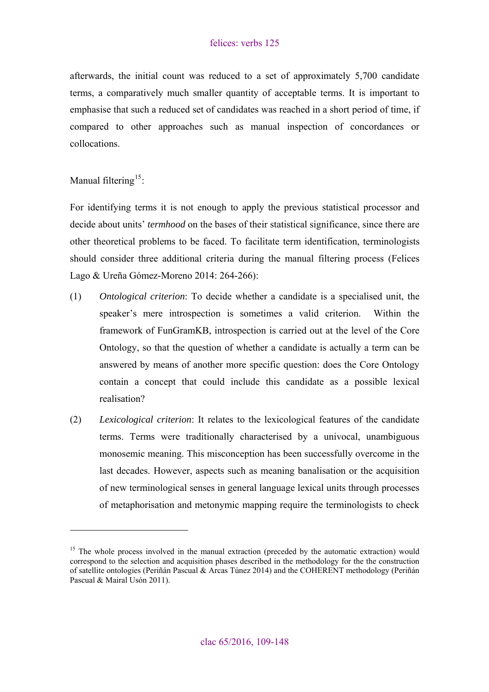afterwards, the initial count was reduced to a set of approximately 5,700 candidate terms, a comparatively much smaller quantity of acceptable terms. It is important to emphasise that such a reduced set of candidates was reached in a short period of time, if compared to other approaches such as manual inspection of concordances or collocations.

Manual filtering<sup>[15](#page-16-0)</sup>:

 $\overline{a}$ 

For identifying terms it is not enough to apply the previous statistical processor and decide about units' *termhood* on the bases of their statistical significance, since there are other theoretical problems to be faced. To facilitate term identification, terminologists should consider three additional criteria during the manual filtering process (Felices Lago & Ureña Gómez-Moreno 2014: 264-266):

- (1) *Ontological criterion*: To decide whether a candidate is a specialised unit, the speaker's mere introspection is sometimes a valid criterion. Within the framework of FunGramKB, introspection is carried out at the level of the Core Ontology, so that the question of whether a candidate is actually a term can be answered by means of another more specific question: does the Core Ontology contain a concept that could include this candidate as a possible lexical realisation?
- (2) *Lexicological criterion*: It relates to the lexicological features of the candidate terms. Terms were traditionally characterised by a univocal, unambiguous monosemic meaning. This misconception has been successfully overcome in the last decades. However, aspects such as meaning banalisation or the acquisition of new terminological senses in general language lexical units through processes of metaphorisation and metonymic mapping require the terminologists to check

<span id="page-16-0"></span><sup>&</sup>lt;sup>15</sup> The whole process involved in the manual extraction (preceded by the automatic extraction) would correspond to the selection and acquisition phases described in the methodology for the the construction of satellite ontologies (Periñán Pascual & Arcas Túnez 2014) and the COHERENT methodology (Periñán Pascual & Mairal Usón 2011).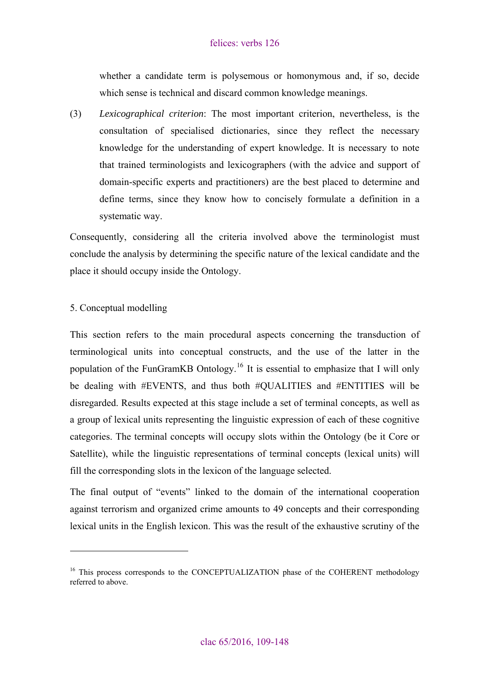<span id="page-17-0"></span>whether a candidate term is polysemous or homonymous and, if so, decide which sense is technical and discard common knowledge meanings.

(3) *Lexicographical criterion*: The most important criterion, nevertheless, is the consultation of specialised dictionaries, since they reflect the necessary knowledge for the understanding of expert knowledge. It is necessary to note that trained terminologists and lexicographers (with the advice and support of domain-specific experts and practitioners) are the best placed to determine and define terms, since they know how to concisely formulate a definition in a systematic way.

Consequently, considering all the criteria involved above the terminologist must conclude the analysis by determining the specific nature of the lexical candidate and the place it should occupy inside the Ontology.

## 5. Conceptual modelling

 $\overline{a}$ 

This section refers to the main procedural aspects concerning the transduction of terminological units into conceptual constructs, and the use of the latter in the population of the FunGramKB Ontology.[16](#page-17-1) It is essential to emphasize that I will only be dealing with #EVENTS, and thus both #QUALITIES and #ENTITIES will be disregarded. Results expected at this stage include a set of terminal concepts, as well as a group of lexical units representing the linguistic expression of each of these cognitive categories. The terminal concepts will occupy slots within the Ontology (be it Core or Satellite), while the linguistic representations of terminal concepts (lexical units) will fill the corresponding slots in the lexicon of the language selected.

The final output of "events" linked to the domain of the international cooperation against terrorism and organized crime amounts to 49 concepts and their corresponding lexical units in the English lexicon. This was the result of the exhaustive scrutiny of the

<span id="page-17-1"></span><sup>&</sup>lt;sup>16</sup> This process corresponds to the CONCEPTUALIZATION phase of the COHERENT methodology referred to above.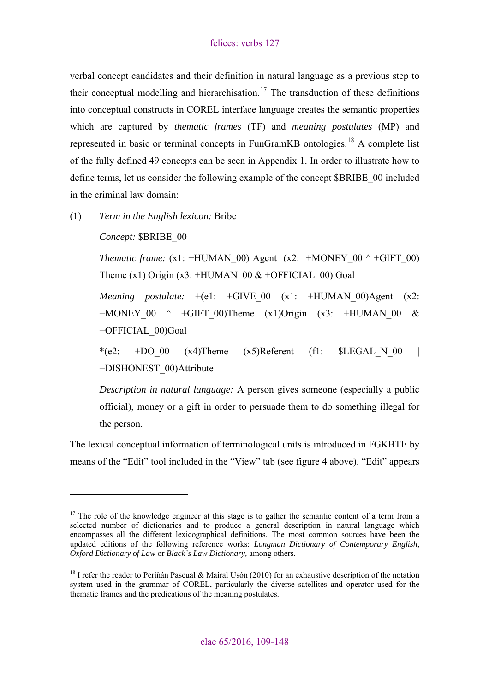verbal concept candidates and their definition in natural language as a previous step to their conceptual modelling and hierarchisation.<sup>[17](#page-18-0)</sup> The transduction of these definitions into conceptual constructs in COREL interface language creates the semantic properties which are captured by *thematic frames* (TF) and *meaning postulates* (MP) and represented in basic or terminal concepts in FunGramKB ontologies.<sup>[18](#page-18-1)</sup> A complete list of the fully defined 49 concepts can be seen in Appendix 1. In order to illustrate how to define terms, let us consider the following example of the concept \$BRIBE\_00 included in the criminal law domain:

(1) *Term in the English lexicon:* Bribe

*Concept:* \$BRIBE\_00

 $\overline{a}$ 

*Thematic frame:* (x1: +HUMAN\_00) Agent (x2: +MONEY\_00  $\land$  +GIFT\_00) Theme (x1) Origin (x3: +HUMAN  $00 \&$  +OFFICIAL 00) Goal

*Meaning postulate:*  $+(e1: +GIVE 00 (x1: +HUMAN 00)Agent (x2:$ +MONEY 00  $\land$  +GIFT 00)Theme (x1)Origin (x3: +HUMAN 00 & +OFFICIAL\_00)Goal

\*(e2:  $+$ DO 00 (x4)Theme (x5)Referent (f1: \$LEGAL N 00 +DISHONEST\_00)Attribute

*Description in natural language:* A person gives someone (especially a public official), money or a gift in order to persuade them to do something illegal for the person.

The lexical conceptual information of terminological units is introduced in FGKBTE by means of the "Edit" tool included in the "View" tab (see figure 4 above). "Edit" appears

<span id="page-18-0"></span> $17$  The role of the knowledge engineer at this stage is to gather the semantic content of a term from a selected number of dictionaries and to produce a general description in natural language which encompasses all the different lexicographical definitions. The most common sources have been the updated editions of the following reference works: *Longman Dictionary of Contemporary English, Oxford Dictionary of Law* or *Black`s Law Dictionary,* among others.

<span id="page-18-1"></span><sup>&</sup>lt;sup>18</sup> I refer the reader to Periñán Pascual & Mairal Usón (2010) for an exhaustive description of the notation system used in the grammar of COREL, particularly the diverse satellites and operator used for the thematic frames and the predications of the meaning postulates.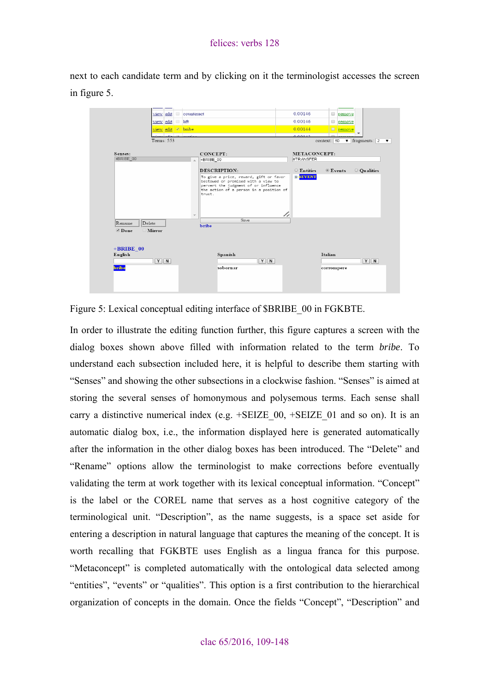next to each candidate term and by clicking on it the terminologist accesses the screen in figure 5.

| Senses:                 | view edit<br>Terms: 553 | bribe<br>CONCEPT:                  |                                                                                 |       | 0.00144<br>0.00142<br>METACONCEPT: | $\Box$ remove<br>context: 50 | $\blacktriangledown$ fragments: 2 |
|-------------------------|-------------------------|------------------------------------|---------------------------------------------------------------------------------|-------|------------------------------------|------------------------------|-----------------------------------|
| +BRIBE 00               |                         | +BRIBE 00                          |                                                                                 |       | #TRANSFER                          |                              |                                   |
|                         |                         | DESCRIPTION:                       |                                                                                 |       | $\circ$ Entities                   | $\odot$ Events               | O Qualities                       |
|                         |                         |                                    | pervert the judgment of or influence<br>the action of a person in a position of |       |                                    |                              |                                   |
|                         |                         | trust.<br>$\overline{\mathcal{M}}$ |                                                                                 | //    |                                    |                              |                                   |
| Rename<br>Delete        |                         | bribe                              | Save                                                                            |       |                                    |                              |                                   |
| Mirror<br>$\n  Done\n$  |                         |                                    |                                                                                 |       |                                    |                              |                                   |
| $+$ BRIBE 00<br>English | $Y$ N                   |                                    | Spanish                                                                         | $Y$ N |                                    | Italian                      | $Y$ N                             |

Figure 5: Lexical conceptual editing interface of \$BRIBE\_00 in FGKBTE.

In order to illustrate the editing function further, this figure captures a screen with the dialog boxes shown above filled with information related to the term *bribe*. To understand each subsection included here, it is helpful to describe them starting with "Senses" and showing the other subsections in a clockwise fashion. "Senses" is aimed at storing the several senses of homonymous and polysemous terms. Each sense shall carry a distinctive numerical index (e.g.  $+SEIZE$  00,  $+SEIZE$  01 and so on). It is an automatic dialog box, i.e., the information displayed here is generated automatically after the information in the other dialog boxes has been introduced. The "Delete" and "Rename" options allow the terminologist to make corrections before eventually validating the term at work together with its lexical conceptual information. "Concept" is the label or the COREL name that serves as a host cognitive category of the terminological unit. "Description", as the name suggests, is a space set aside for entering a description in natural language that captures the meaning of the concept. It is worth recalling that FGKBTE uses English as a lingua franca for this purpose. "Metaconcept" is completed automatically with the ontological data selected among "entities", "events" or "qualities". This option is a first contribution to the hierarchical organization of concepts in the domain. Once the fields "Concept", "Description" and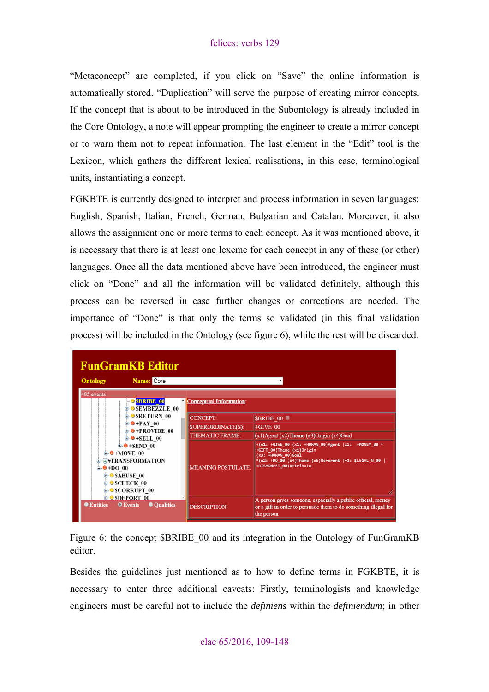"Metaconcept" are completed, if you click on "Save" the online information is automatically stored. "Duplication" will serve the purpose of creating mirror concepts. If the concept that is about to be introduced in the Subontology is already included in the Core Ontology, a note will appear prompting the engineer to create a mirror concept or to warn them not to repeat information. The last element in the "Edit" tool is the Lexicon, which gathers the different lexical realisations, in this case, terminological units, instantiating a concept.

FGKBTE is currently designed to interpret and process information in seven languages: English, Spanish, Italian, French, German, Bulgarian and Catalan. Moreover, it also allows the assignment one or more terms to each concept. As it was mentioned above, it is necessary that there is at least one lexeme for each concept in any of these (or other) languages. Once all the data mentioned above have been introduced, the engineer must click on "Done" and all the information will be validated definitely, although this process can be reversed in case further changes or corrections are needed. The importance of "Done" is that only the terms so validated (in this final validation process) will be included in the Ontology (see figure 6), while the rest will be discarded.

| <b>FunGramKB Editor</b>                                                                                                                                              |                                |                                                                                                                                                                                                 |  |  |  |  |
|----------------------------------------------------------------------------------------------------------------------------------------------------------------------|--------------------------------|-------------------------------------------------------------------------------------------------------------------------------------------------------------------------------------------------|--|--|--|--|
| Name: Core<br><b>Ontology</b>                                                                                                                                        |                                |                                                                                                                                                                                                 |  |  |  |  |
| 485 events<br><b>SBRIBE 00</b><br><b>A</b> • SEMBEZZLE 00                                                                                                            | <b>Conceptual Information:</b> |                                                                                                                                                                                                 |  |  |  |  |
| <b>O</b> SRETURN 00                                                                                                                                                  | <b>CONCEPT:</b>                | SBRIBE 00                                                                                                                                                                                       |  |  |  |  |
| $\bullet$ +PAY 00                                                                                                                                                    | <b>SUPERORDINATE(S):</b>       | $+GIVE$ 00                                                                                                                                                                                      |  |  |  |  |
| $\div$ $\div$ PROVIDE 00<br>$\theta$ +SELL 00                                                                                                                        | <b>THEMATIC FRAME:</b>         | $(x1)$ Agent $(x2)$ Theme $(x3)$ Origin $(x4)$ Goal                                                                                                                                             |  |  |  |  |
| $\theta$ +SEND 00<br>$\triangle$ +MOVE 00<br><b>E-G#TRANSFORMATION</b><br>$\triangle$ +DO 00<br><b>G-O SABUSE 00</b><br><b>G-O SCHECK 00</b><br><b>A</b> SCORRUPT 00 | <b>MEANING POSTULATE:</b>      | +(e1: +GIVE_00 (x1: +HUMAN_00)Agent (x2: +MONEY_00 ^<br>+GIFT_00)Theme (x1)Origin<br>(x3: +HUMAN 00)Goal<br>*(e2: +DO 00 (x4)Theme (x5)Referent (f1: \$LEGAL_N_00  <br>+DISHONEST 00) Attribute |  |  |  |  |
| <b>E-O SDEPORT 00</b><br><b>CEntities</b><br><b>O</b> Events<br><b>Oualities</b>                                                                                     | <b>DESCRIPTION:</b>            | A person gives someone, espacially a public official, money<br>or a gift in order to persuade them to do something illegal for<br>the person                                                    |  |  |  |  |

Figure 6: the concept \$BRIBE 00 and its integration in the Ontology of FunGramKB editor.

Besides the guidelines just mentioned as to how to define terms in FGKBTE, it is necessary to enter three additional caveats: Firstly, terminologists and knowledge engineers must be careful not to include the *definiens* within the *definiendum*; in other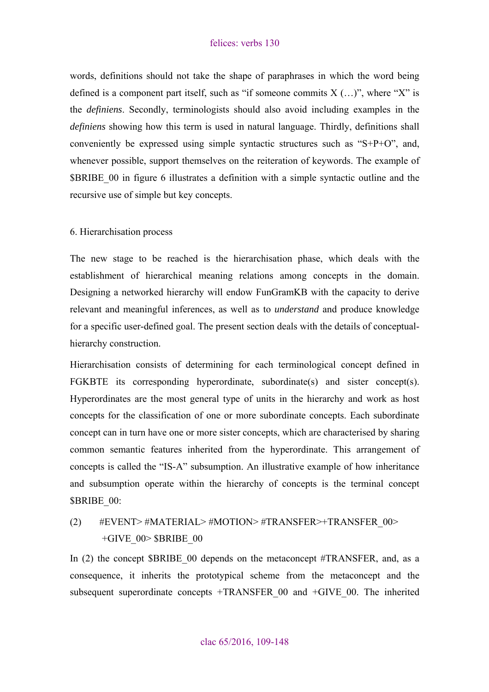<span id="page-21-0"></span>words, definitions should not take the shape of paraphrases in which the word being defined is a component part itself, such as "if someone commits  $X$  (...)", where "X" is the *definiens*. Secondly, terminologists should also avoid including examples in the *definiens* showing how this term is used in natural language. Thirdly, definitions shall conveniently be expressed using simple syntactic structures such as "S+P+O", and, whenever possible, support themselves on the reiteration of keywords. The example of \$BRIBE\_00 in figure 6 illustrates a definition with a simple syntactic outline and the recursive use of simple but key concepts.

#### 6. Hierarchisation process

The new stage to be reached is the hierarchisation phase, which deals with the establishment of hierarchical meaning relations among concepts in the domain. Designing a networked hierarchy will endow FunGramKB with the capacity to derive relevant and meaningful inferences, as well as to *understand* and produce knowledge for a specific user-defined goal. The present section deals with the details of conceptualhierarchy construction.

Hierarchisation consists of determining for each terminological concept defined in FGKBTE its corresponding hyperordinate, subordinate(s) and sister concept(s). Hyperordinates are the most general type of units in the hierarchy and work as host concepts for the classification of one or more subordinate concepts. Each subordinate concept can in turn have one or more sister concepts, which are characterised by sharing common semantic features inherited from the hyperordinate. This arrangement of concepts is called the "IS-A" subsumption. An illustrative example of how inheritance and subsumption operate within the hierarchy of concepts is the terminal concept \$BRIBE 00:

## (2) #EVENT> #MATERIAL> #MOTION> #TRANSFER>+TRANSFER\_00>  $+GIVE$  00 $>$  \$BRIBE\_00

In (2) the concept \$BRIBE\_00 depends on the metaconcept #TRANSFER, and, as a consequence, it inherits the prototypical scheme from the metaconcept and the subsequent superordinate concepts  $+TRANSFER$  00 and  $+GIVE$  00. The inherited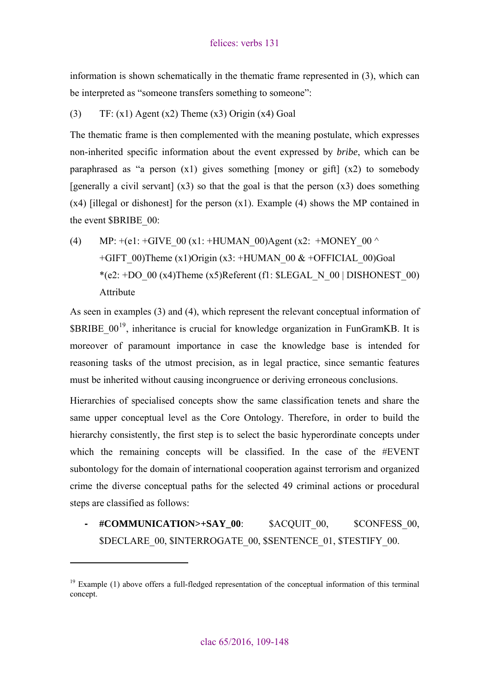information is shown schematically in the thematic frame represented in (3), which can be interpreted as "someone transfers something to someone":

## (3)  $TF: (x1)$  Agent  $(x2)$  Theme  $(x3)$  Origin  $(x4)$  Goal

The thematic frame is then complemented with the meaning postulate, which expresses non-inherited specific information about the event expressed by *bribe*, which can be paraphrased as "a person (x1) gives something [money or gift] (x2) to somebody [generally a civil servant]  $(x3)$  so that the goal is that the person  $(x3)$  does something  $(x4)$  [illegal or dishonest] for the person  $(x1)$ . Example (4) shows the MP contained in the event \$BRIBE\_00:

(4) MP:  $+(e1: +GIVE 00 (x1: +HUMAN 00)Agent (x2: +MONEY 00 ^)$ +GIFT\_00)Theme (x1)Origin (x3: +HUMAN\_00 & +OFFICIAL\_00)Goal \*(e2: +DO\_00 (x4)Theme (x5)Referent (f1:  $SLEGAL$  N\_00 | DISHONEST\_00) Attribute

As seen in examples (3) and (4), which represent the relevant conceptual information of  $$BRIBE$  00<sup>[19](#page-22-0)</sup>, inheritance is crucial for knowledge organization in FunGramKB. It is moreover of paramount importance in case the knowledge base is intended for reasoning tasks of the utmost precision, as in legal practice, since semantic features must be inherited without causing incongruence or deriving erroneous conclusions.

Hierarchies of specialised concepts show the same classification tenets and share the same upper conceptual level as the Core Ontology. Therefore, in order to build the hierarchy consistently, the first step is to select the basic hyperordinate concepts under which the remaining concepts will be classified. In the case of the #EVENT subontology for the domain of international cooperation against terrorism and organized crime the diverse conceptual paths for the selected 49 criminal actions or procedural steps are classified as follows:

**- #COMMUNICATION>+SAY\_00**: \$ACQUIT\_00, \$CONFESS\_00, \$DECLARE\_00, \$INTERROGATE\_00, \$SENTENCE\_01, \$TESTIFY\_00.

<span id="page-22-0"></span> $19$  Example (1) above offers a full-fledged representation of the conceptual information of this terminal concept.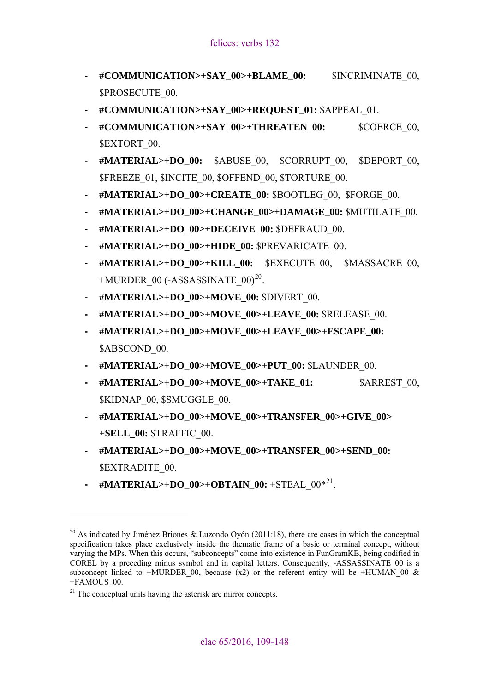- **#COMMUNICATION>+SAY\_00>+BLAME\_00:** \$INCRIMINATE\_00, \$PROSECUTE\_00.
- **#COMMUNICATION>+SAY\_00>+REQUEST\_01:** \$APPEAL\_01.
- **#COMMUNICATION>+SAY\_00>+THREATEN\_00:** \$COERCE\_00, \$EXTORT 00.
- **#MATERIAL>+DO\_00:** \$ABUSE\_00, \$CORRUPT\_00, \$DEPORT\_00, \$FREEZE\_01, \$INCITE\_00, \$OFFEND\_00, \$TORTURE\_00.
- **#MATERIAL>+DO\_00>+CREATE\_00:** \$BOOTLEG\_00, \$FORGE\_00.
- **#MATERIAL>+DO\_00>+CHANGE\_00>+DAMAGE\_00:** \$MUTILATE\_00.
- **#MATERIAL>+DO\_00>+DECEIVE\_00:** \$DEFRAUD\_00.
- **#MATERIAL>+DO\_00>+HIDE\_00:** \$PREVARICATE\_00.
- **#MATERIAL>+DO\_00>+KILL\_00:** \$EXECUTE\_00, \$MASSACRE\_00,  $+MURDER$  00 (-ASSASSINATE 00)<sup>[20](#page-23-0)</sup>.
- **#MATERIAL>+DO\_00>+MOVE\_00:** \$DIVERT\_00.
- **#MATERIAL>+DO\_00>+MOVE\_00>+LEAVE\_00:** \$RELEASE\_00.
- **#MATERIAL>+DO\_00>+MOVE\_00>+LEAVE\_00>+ESCAPE\_00:**  \$ABSCOND 00.
- **#MATERIAL>+DO\_00>+MOVE\_00>+PUT\_00:** \$LAUNDER\_00.
- **#MATERIAL>+DO\_00>+MOVE\_00>+TAKE\_01:** \$ARREST\_00, \$KIDNAP\_00, \$SMUGGLE\_00.
- **#MATERIAL>+DO\_00>+MOVE\_00>+TRANSFER\_00>+GIVE\_00> +SELL\_00:** \$TRAFFIC\_00.
- **#MATERIAL>+DO\_00>+MOVE\_00>+TRANSFER\_00>+SEND\_00:**  \$EXTRADITE\_00.
- **-** #MATERIAL>+DO\_00>+OBTAIN\_00: +STEAL\_00\*<sup>[21](#page-23-1)</sup>.

<span id="page-23-0"></span><sup>&</sup>lt;sup>20</sup> As indicated by Jiménez Briones & Luzondo Oyón (2011:18), there are cases in which the conceptual specification takes place exclusively inside the thematic frame of a basic or terminal concept, without varying the MPs. When this occurs, "subconcepts" come into existence in FunGramKB, being codified in COREL by a preceding minus symbol and in capital letters. Consequently, -ASSASSINATE\_00 is a subconcept linked to +MURDER 00, because (x2) or the referent entity will be +HUMAN 00  $\&$ +FAMOUS\_00.

<span id="page-23-1"></span> $21$  The conceptual units having the asterisk are mirror concepts.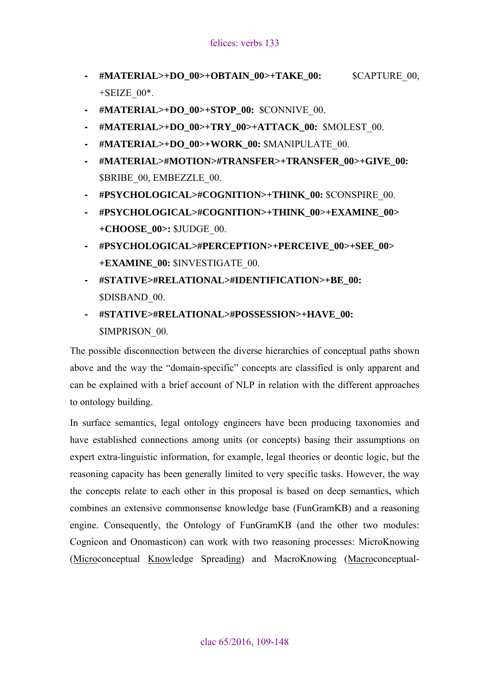- **#MATERIAL>+DO\_00>+OBTAIN\_00>+TAKE\_00:** \$CAPTURE\_00,  $+$ SEIZE  $00^*$ .
- **#MATERIAL>+DO\_00>+STOP\_00:** \$CONNIVE\_00.
- **#MATERIAL>+DO\_00>+TRY\_00>+ATTACK\_00:** \$MOLEST\_00.
- **#MATERIAL>+DO\_00>+WORK\_00:** \$MANIPULATE\_00.
- **#MATERIAL>#MOTION>#TRANSFER>+TRANSFER\_00>+GIVE\_00:**  \$BRIBE\_00, EMBEZZLE\_00.
- **#PSYCHOLOGICAL>#COGNITION>+THINK\_00:** \$CONSPIRE\_00.
- **#PSYCHOLOGICAL>#COGNITION>+THINK\_00>+EXAMINE\_00> +CHOOSE\_00>:** \$JUDGE\_00.
- **#PSYCHOLOGICAL>#PERCEPTION>+PERCEIVE\_00>+SEE\_00> +EXAMINE\_00:** \$INVESTIGATE\_00.
- **#STATIVE>#RELATIONAL>#IDENTIFICATION>+BE\_00:** \$DISBAND\_00.
- **#STATIVE>#RELATIONAL>#POSSESSION>+HAVE\_00:**  \$IMPRISON\_00.

The possible disconnection between the diverse hierarchies of conceptual paths shown above and the way the "domain-specific" concepts are classified is only apparent and can be explained with a brief account of NLP in relation with the different approaches to ontology building.

In surface semantics, legal ontology engineers have been producing taxonomies and have established connections among units (or concepts) basing their assumptions on expert extra-linguistic information, for example, legal theories or deontic logic, but the reasoning capacity has been generally limited to very specific tasks. However, the way the concepts relate to each other in this proposal is based on deep semantics, which combines an extensive commonsense knowledge base (FunGramKB) and a reasoning engine. Consequently, the Ontology of FunGramKB (and the other two modules: Cognicon and Onomasticon) can work with two reasoning processes: MicroKnowing (Microconceptual Knowledge Spreading) and MacroKnowing (Macroconceptual-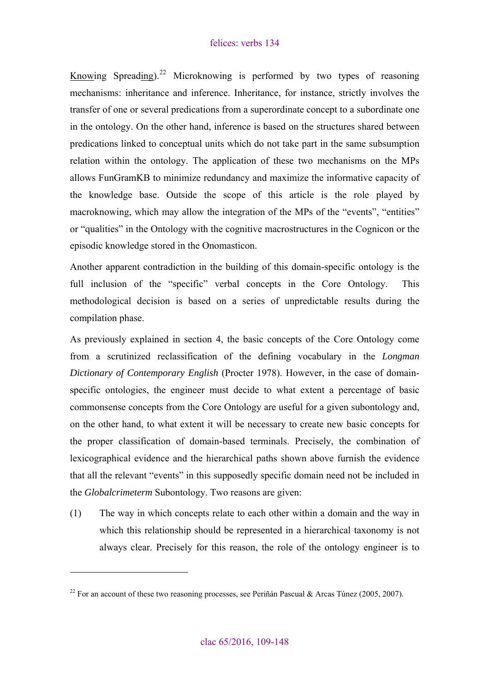Knowing Spreading).<sup>[22](#page-25-0)</sup> Microknowing is performed by two types of reasoning mechanisms: inheritance and inference. Inheritance, for instance, strictly involves the transfer of one or several predications from a superordinate concept to a subordinate one in the ontology. On the other hand, inference is based on the structures shared between predications linked to conceptual units which do not take part in the same subsumption relation within the ontology. The application of these two mechanisms on the MPs allows FunGramKB to minimize redundancy and maximize the informative capacity of the knowledge base. Outside the scope of this article is the role played by macroknowing, which may allow the integration of the MPs of the "events", "entities" or "qualities" in the Ontology with the cognitive macrostructures in the Cognicon or the episodic knowledge stored in the Onomasticon.

Another apparent contradiction in the building of this domain-specific ontology is the full inclusion of the "specific" verbal concepts in the Core Ontology. This methodological decision is based on a series of unpredictable results during the compilation phase.

As previously explained in section 4, the basic concepts of the Core Ontology come from a scrutinized reclassification of the defining vocabulary in the *Longman Dictionary of Contemporary English* (Procter 1978). However, in the case of domainspecific ontologies, the engineer must decide to what extent a percentage of basic commonsense concepts from the Core Ontology are useful for a given subontology and, on the other hand, to what extent it will be necessary to create new basic concepts for the proper classification of domain-based terminals. Precisely, the combination of lexicographical evidence and the hierarchical paths shown above furnish the evidence that all the relevant "events" in this supposedly specific domain need not be included in the *Globalcrimeterm* Subontology. Two reasons are given:

(1) The way in which concepts relate to each other within a domain and the way in which this relationship should be represented in a hierarchical taxonomy is not always clear. Precisely for this reason, the role of the ontology engineer is to

<span id="page-25-0"></span><sup>&</sup>lt;sup>22</sup> For an account of these two reasoning processes, see Periñán Pascual & Arcas Túnez (2005, 2007).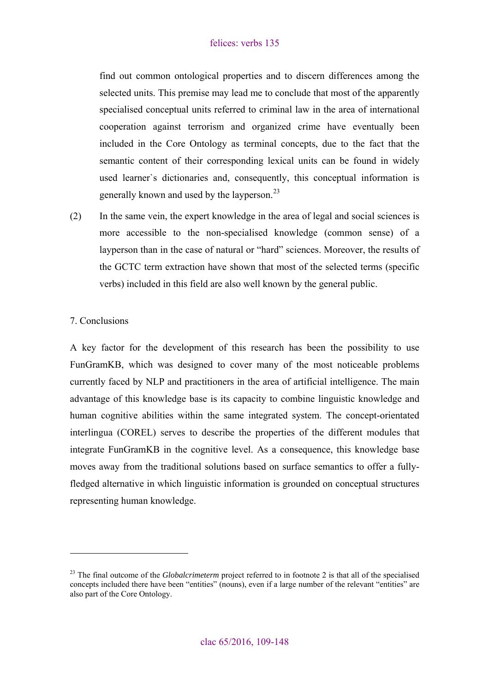<span id="page-26-0"></span>find out common ontological properties and to discern differences among the selected units. This premise may lead me to conclude that most of the apparently specialised conceptual units referred to criminal law in the area of international cooperation against terrorism and organized crime have eventually been included in the Core Ontology as terminal concepts, due to the fact that the semantic content of their corresponding lexical units can be found in widely used learner`s dictionaries and, consequently, this conceptual information is generally known and used by the layperson.<sup>[23](#page-26-1)</sup>

(2) In the same vein, the expert knowledge in the area of legal and social sciences is more accessible to the non-specialised knowledge (common sense) of a layperson than in the case of natural or "hard" sciences. Moreover, the results of the GCTC term extraction have shown that most of the selected terms (specific verbs) included in this field are also well known by the general public.

#### 7. Conclusions

 $\overline{a}$ 

A key factor for the development of this research has been the possibility to use FunGramKB, which was designed to cover many of the most noticeable problems currently faced by NLP and practitioners in the area of artificial intelligence. The main advantage of this knowledge base is its capacity to combine linguistic knowledge and human cognitive abilities within the same integrated system. The concept-orientated interlingua (COREL) serves to describe the properties of the different modules that integrate FunGramKB in the cognitive level. As a consequence, this knowledge base moves away from the traditional solutions based on surface semantics to offer a fullyfledged alternative in which linguistic information is grounded on conceptual structures representing human knowledge.

<span id="page-26-1"></span><sup>&</sup>lt;sup>23</sup> The final outcome of the *Globalcrimeterm* project referred to in footnote 2 is that all of the specialised concepts included there have been "entities" (nouns), even if a large number of the relevant "entities" are also part of the Core Ontology.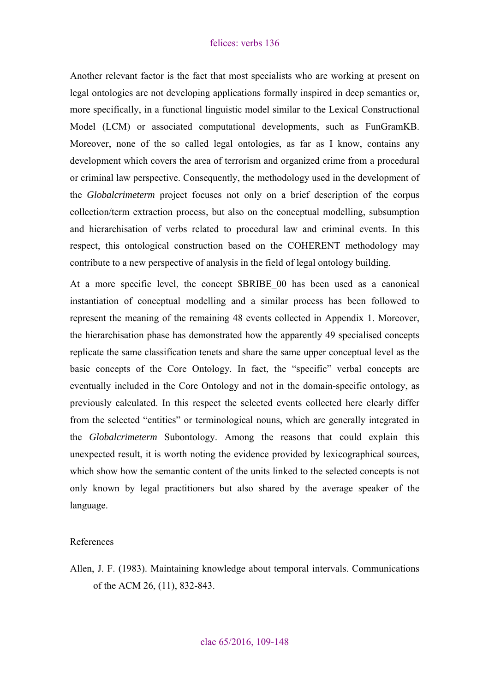<span id="page-27-0"></span>Another relevant factor is the fact that most specialists who are working at present on legal ontologies are not developing applications formally inspired in deep semantics or, more specifically, in a functional linguistic model similar to the Lexical Constructional Model (LCM) or associated computational developments, such as FunGramKB. Moreover, none of the so called legal ontologies, as far as I know, contains any development which covers the area of terrorism and organized crime from a procedural or criminal law perspective. Consequently, the methodology used in the development of the *Globalcrimeterm* project focuses not only on a brief description of the corpus collection/term extraction process, but also on the conceptual modelling, subsumption and hierarchisation of verbs related to procedural law and criminal events. In this respect, this ontological construction based on the COHERENT methodology may contribute to a new perspective of analysis in the field of legal ontology building.

At a more specific level, the concept \$BRIBE\_00 has been used as a canonical instantiation of conceptual modelling and a similar process has been followed to represent the meaning of the remaining 48 events collected in Appendix 1. Moreover, the hierarchisation phase has demonstrated how the apparently 49 specialised concepts replicate the same classification tenets and share the same upper conceptual level as the basic concepts of the Core Ontology. In fact, the "specific" verbal concepts are eventually included in the Core Ontology and not in the domain-specific ontology, as previously calculated. In this respect the selected events collected here clearly differ from the selected "entities" or terminological nouns, which are generally integrated in the *Globalcrimeterm* Subontology. Among the reasons that could explain this unexpected result, it is worth noting the evidence provided by lexicographical sources, which show how the semantic content of the units linked to the selected concepts is not only known by legal practitioners but also shared by the average speaker of the language.

#### References

Allen, J. F. (1983). Maintaining knowledge about temporal intervals. Communications of the ACM 26, (11), 832-843.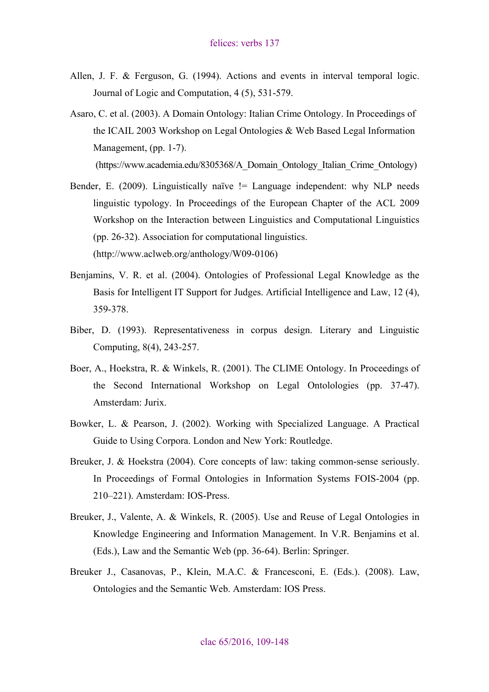- Allen, J. F. & Ferguson, G. (1994). Actions and events in interval temporal logic. Journal of Logic and Computation, 4 (5), 531-579.
- Asaro, C. et al. (2003). A Domain Ontology: Italian Crime Ontology. In Proceedings of the ICAIL 2003 Workshop on Legal Ontologies & Web Based Legal Information Management, (pp. 1-7).

(https://www.academia.edu/8305368/A\_Domain\_Ontology\_Italian\_Crime\_Ontology)

- Bender, E. (2009). Linguistically naïve != Language independent: why NLP needs linguistic typology. In Proceedings of the European Chapter of the ACL 2009 Workshop on the Interaction between Linguistics and Computational Linguistics (pp. 26-32). Association for computational linguistics. (http://www.aclweb.org/anthology/W09-0106)
- Benjamins, V. R. et al. (2004). Ontologies of Professional Legal Knowledge as the Basis for Intelligent IT Support for Judges. Artificial Intelligence and Law, 12 (4), 359-378.
- Biber, D. (1993). Representativeness in corpus design. Literary and Linguistic Computing, 8(4), 243-257.
- Boer, A., Hoekstra, R. & Winkels, R. (2001). The CLIME Ontology. In Proceedings of the Second International Workshop on Legal Ontolologies (pp. 37-47). Amsterdam: Jurix.
- Bowker, L. & Pearson, J. (2002). Working with Specialized Language. A Practical Guide to Using Corpora. London and New York: Routledge.
- Breuker, J. & Hoekstra (2004). Core concepts of law: taking common-sense seriously. In Proceedings of Formal Ontologies in Information Systems FOIS-2004 (pp. 210–221). Amsterdam: IOS-Press.
- Breuker, J., Valente, A. & Winkels, R. (2005). Use and Reuse of Legal Ontologies in Knowledge Engineering and Information Management. In V.R. Benjamins et al. (Eds.), Law and the Semantic Web (pp. 36-64). Berlin: Springer.
- Breuker J., Casanovas, P., Klein, M.A.C. & Francesconi, E. (Eds.). (2008). Law, Ontologies and the Semantic Web. Amsterdam: IOS Press.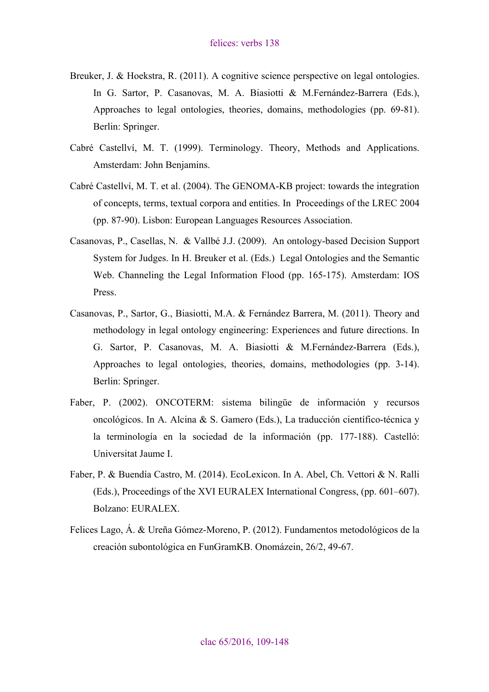- Breuker, J. & Hoekstra, R. (2011). A cognitive science perspective on legal ontologies. In G. Sartor, P. Casanovas, M. A. Biasiotti & M.Fernández-Barrera (Eds.), Approaches to legal ontologies, theories, domains, methodologies (pp. 69-81). Berlin: Springer.
- Cabré Castellví, M. T. (1999). Terminology. Theory, Methods and Applications. Amsterdam: John Benjamins.
- Cabré Castellví, M. T. et al. (2004). The GENOMA-KB project: towards the integration of concepts, terms, textual corpora and entities. In Proceedings of the LREC 2004 (pp. 87-90). Lisbon: European Languages Resources Association.
- Casanovas, P., Casellas, N. & Vallbé J.J. (2009). An ontology-based Decision Support System for Judges. In H. Breuker et al. (Eds.) Legal Ontologies and the Semantic Web. Channeling the Legal Information Flood (pp. 165-175). Amsterdam: IOS Press.
- Casanovas, P., Sartor, G., Biasiotti, M.A. & Fernández Barrera, M. (2011). Theory and methodology in legal ontology engineering: Experiences and future directions. In G. Sartor, P. Casanovas, M. A. Biasiotti & M.Fernández-Barrera (Eds.), Approaches to legal ontologies, theories, domains, methodologies (pp. 3-14). Berlin: Springer.
- Faber, P. (2002). ONCOTERM: sistema bilingüe de información y recursos oncológicos. In A. Alcina & S. Gamero (Eds.), La traducción científico-técnica y la terminología en la sociedad de la información (pp. 177-188). Castelló: Universitat Jaume I.
- Faber, P. & Buendía Castro, M. (2014). EcoLexicon. In A. Abel, Ch. Vettori & N. Ralli (Eds.), Proceedings of the XVI EURALEX International Congress, (pp. 601–607). Bolzano: EURALEX.
- Felices Lago, Á. & Ureña Gómez-Moreno, P. (2012). Fundamentos metodológicos de la creación subontológica en FunGramKB. Onomázein, 26/2, 49-67.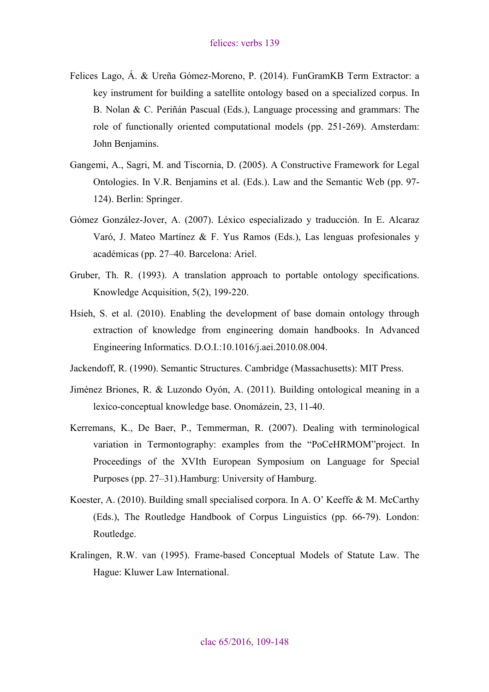- Felices Lago, Á. & Ureña Gómez-Moreno, P. (2014). FunGramKB Term Extractor: a key instrument for building a satellite ontology based on a specialized corpus. In B. Nolan & C. Periñán Pascual (Eds.), Language processing and grammars: The role of functionally oriented computational models (pp. 251-269). Amsterdam: John Benjamins.
- Gangemi, A., Sagri, M. and Tiscornia, D. (2005). A Constructive Framework for Legal Ontologies. In V.R. Benjamins et al. (Eds.). Law and the Semantic Web (pp. 97- 124). Berlin: Springer.
- Gómez González-Jover, A. (2007). Léxico especializado y traducción. In E. Alcaraz Varó, J. Mateo Martínez & F. Yus Ramos (Eds.), Las lenguas profesionales y académicas (pp. 27–40. Barcelona: Ariel.
- Gruber, Th. R. (1993). A translation approach to portable ontology specifications. Knowledge Acquisition, 5(2), 199-220.
- Hsieh, S. et al. (2010). Enabling the development of base domain ontology through extraction of knowledge from engineering domain handbooks. In Advanced Engineering Informatics. D.O.I.:10.1016/j.aei.2010.08.004.
- Jackendoff, R. (1990). Semantic Structures. Cambridge (Massachusetts): MIT Press.
- Jiménez Briones, R. & Luzondo Oyón, A. (2011). Building ontological meaning in a lexico-conceptual knowledge base. Onomázein, 23, 11-40.
- Kerremans, K., De Baer, P., Temmerman, R. (2007). Dealing with terminological variation in Termontography: examples from the "PoCeHRMOM"project. In Proceedings of the XVIth European Symposium on Language for Special Purposes (pp. 27–31).Hamburg: University of Hamburg.
- Koester, A. (2010). Building small specialised corpora. In A. O' Keeffe & M. McCarthy (Eds.), The Routledge Handbook of Corpus Linguistics (pp. 66-79). London: Routledge.
- Kralingen, R.W. van (1995). Frame-based Conceptual Models of Statute Law. The Hague: Kluwer Law International.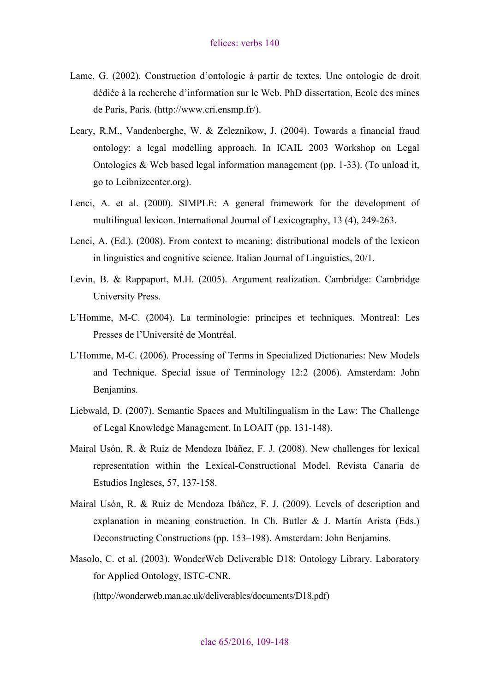- Lame, G. (2002). Construction d'ontologie à partir de textes. Une ontologie de droit dédiée à la recherche d'information sur le Web. PhD dissertation, Ecole des mines de Paris, Paris. (http://www.cri.ensmp.fr/).
- Leary, R.M., Vandenberghe, W. & Zeleznikow, J. (2004). Towards a financial fraud ontology: a legal modelling approach. In ICAIL 2003 Workshop on Legal Ontologies & Web based legal information management (pp. 1-33). (To unload it, go to Leibnizcenter.org).
- Lenci, A. et al. (2000). SIMPLE: A general framework for the development of multilingual lexicon. International Journal of Lexicography, 13 (4), 249-263.
- Lenci, A. (Ed.). (2008). From context to meaning: distributional models of the lexicon in linguistics and cognitive science. Italian Journal of Linguistics, 20/1.
- Levin, B. & Rappaport, M.H. (2005). Argument realization. Cambridge: Cambridge University Press.
- L'Homme, M-C. (2004). La terminologie: principes et techniques. Montreal: Les Presses de l'Université de Montréal.
- L'Homme, M-C. (2006). Processing of Terms in Specialized Dictionaries: New Models and Technique. Special issue of Terminology 12:2 (2006). Amsterdam: John Benjamins.
- Liebwald, D. (2007). Semantic Spaces and Multilingualism in the Law: The Challenge of Legal Knowledge Management. In LOAIT (pp. 131-148).
- Mairal Usón, R. & Ruiz de Mendoza Ibáñez, F. J. (2008). New challenges for lexical representation within the Lexical-Constructional Model. Revista Canaria de Estudios Ingleses, 57, 137-158.
- Mairal Usón, R. & Ruiz de Mendoza Ibáñez, F. J. (2009). Levels of description and explanation in meaning construction. In Ch. Butler & J. Martín Arista (Eds.) Deconstructing Constructions (pp. 153–198). Amsterdam: John Benjamins.
- Masolo, C. et al. (2003). WonderWeb Deliverable D18: Ontology Library. Laboratory for Applied Ontology, ISTC-CNR.

(http://wonderweb.man.ac.uk/deliverables/documents/D18.pdf)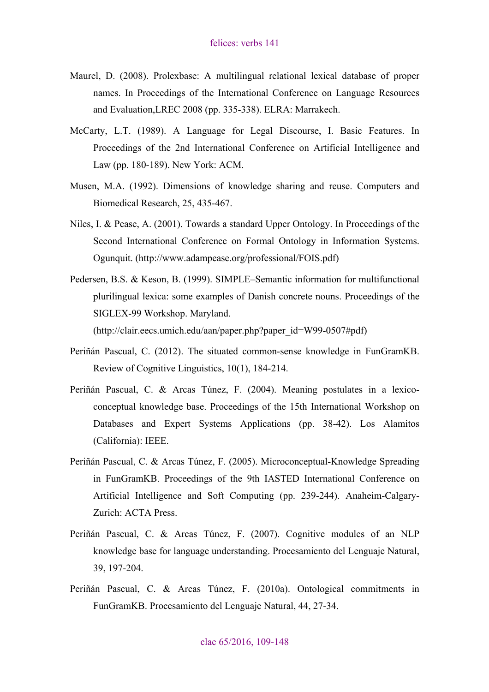- Maurel, D. (2008). Prolexbase: A multilingual relational lexical database of proper names. In Proceedings of the International Conference on Language Resources and Evaluation,LREC 2008 (pp. 335-338). ELRA: Marrakech.
- McCarty, L.T. (1989). A Language for Legal Discourse, I. Basic Features. In Proceedings of the 2nd International Conference on Artificial Intelligence and Law (pp. 180-189). New York: ACM.
- Musen, M.A. (1992). Dimensions of knowledge sharing and reuse. Computers and Biomedical Research, 25, 435-467.
- Niles, I. & Pease, A. (2001). Towards a standard Upper Ontology. In Proceedings of the Second International Conference on Formal Ontology in Information Systems. Ogunquit. (http://www.adampease.org/professional/FOIS.pdf)
- Pedersen, B.S. & Keson, B. (1999). SIMPLE–Semantic information for multifunctional plurilingual lexica: some examples of Danish concrete nouns. Proceedings of the SIGLEX-99 Workshop. Maryland.

(http://clair.eecs.umich.edu/aan/paper.php?paper\_id=W99-0507#pdf)

- Periñán Pascual, C. (2012). The situated common-sense knowledge in FunGramKB. Review of Cognitive Linguistics, 10(1), 184-214.
- Periñán Pascual, C. & Arcas Túnez, F. (2004). Meaning postulates in a lexicoconceptual knowledge base. Proceedings of the 15th International Workshop on Databases and Expert Systems Applications (pp. 38-42). Los Alamitos (California): IEEE.
- Periñán Pascual, C. & Arcas Túnez, F. (2005). Microconceptual-Knowledge Spreading in FunGramKB. Proceedings of the 9th IASTED International Conference on Artificial Intelligence and Soft Computing (pp. 239-244). Anaheim-Calgary-Zurich: ACTA Press.
- Periñán Pascual, C. & Arcas Túnez, F. (2007). Cognitive modules of an NLP knowledge base for language understanding. Procesamiento del Lenguaje Natural, 39, 197-204.
- Periñán Pascual, C. & Arcas Túnez, F. (2010a). Ontological commitments in FunGramKB. Procesamiento del Lenguaje Natural, 44, 27-34.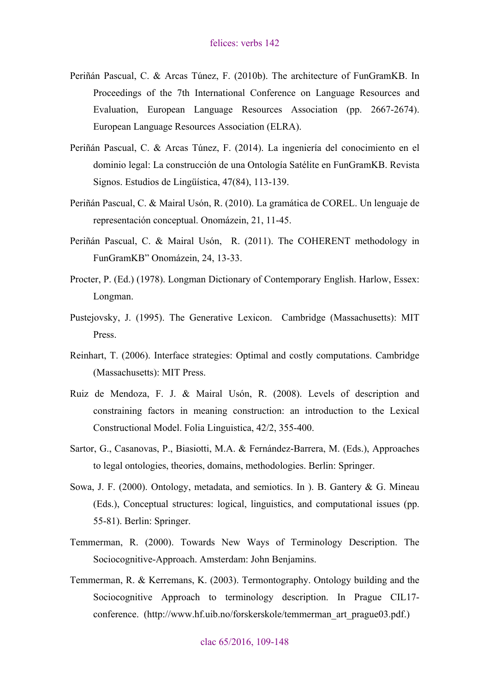- Periñán Pascual, C. & Arcas Túnez, F. (2010b). The architecture of FunGramKB. In Proceedings of the 7th International Conference on Language Resources and Evaluation, European Language Resources Association (pp. 2667-2674). European Language Resources Association (ELRA).
- Periñán Pascual, C. & Arcas Túnez, F. (2014). La ingeniería del conocimiento en el dominio legal: La construcción de una Ontología Satélite en FunGramKB. Revista Signos. Estudios de Lingüística, 47(84), 113-139.
- Periñán Pascual, C. & Mairal Usón, R. (2010). La gramática de COREL. Un lenguaje de representación conceptual. Onomázein, 21, 11-45.
- Periñán Pascual, C. & Mairal Usón, R. (2011). The COHERENT methodology in FunGramKB" Onomázein, 24, 13-33.
- Procter, P. (Ed.) (1978). Longman Dictionary of Contemporary English. Harlow, Essex: Longman.
- Pustejovsky, J. (1995). The Generative Lexicon. Cambridge (Massachusetts): MIT Press.
- Reinhart, T. (2006). Interface strategies: Optimal and costly computations. Cambridge (Massachusetts): MIT Press.
- Ruiz de Mendoza, F. J. & Mairal Usón, R. (2008). Levels of description and constraining factors in meaning construction: an introduction to the Lexical Constructional Model. Folia Linguistica, 42/2, 355-400.
- Sartor, G., Casanovas, P., Biasiotti, M.A. & Fernández-Barrera, M. (Eds.), Approaches to legal ontologies, theories, domains, methodologies. Berlin: Springer.
- Sowa, J. F. (2000). Ontology, metadata, and semiotics. In ). B. Gantery & G. Mineau (Eds.), Conceptual structures: logical, linguistics, and computational issues (pp. 55-81). Berlin: Springer.
- Temmerman, R. (2000). Towards New Ways of Terminology Description. The Sociocognitive-Approach. Amsterdam: John Benjamins.
- Temmerman, R. & Kerremans, K. (2003). Termontography. Ontology building and the Sociocognitive Approach to terminology description. In Prague CIL17 conference. (http://www.hf.uib.no/forskerskole/temmerman\_art\_prague03.pdf.)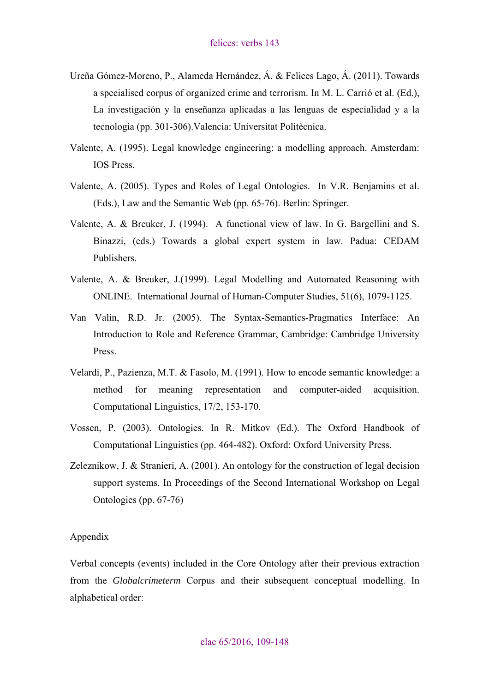- <span id="page-34-0"></span>Ureña Gómez-Moreno, P., Alameda Hernández, Á. & Felices Lago, Á. (2011). Towards a specialised corpus of organized crime and terrorism. In M. L. Carrió et al. (Ed.), La investigación y la enseñanza aplicadas a las lenguas de especialidad y a la tecnología (pp. 301-306).Valencia: Universitat Politècnica.
- Valente, A. (1995). Legal knowledge engineering: a modelling approach. Amsterdam: IOS Press.
- Valente, A. (2005). Types and Roles of Legal Ontologies. In V.R. Benjamins et al. (Eds.), Law and the Semantic Web (pp. 65-76). Berlin: Springer.
- Valente, A. & Breuker, J. (1994). A functional view of law. In G. Bargellini and S. Binazzi, (eds.) Towards a global expert system in law. Padua: CEDAM Publishers.
- Valente, A. & Breuker, J.(1999). Legal Modelling and Automated Reasoning with ONLINE. International Journal of Human-Computer Studies, 51(6), 1079-1125.
- Van Valin, R.D. Jr. (2005). The Syntax-Semantics-Pragmatics Interface: An Introduction to Role and Reference Grammar, Cambridge: Cambridge University Press.
- Velardi, P., Pazienza, M.T. & Fasolo, M. (1991). How to encode semantic knowledge: a method for meaning representation and computer-aided acquisition. Computational Linguistics, 17/2, 153-170.
- Vossen, P. (2003). Ontologies. In R. Mitkov (Ed.). The Oxford Handbook of Computational Linguistics (pp. 464-482). Oxford: Oxford University Press.
- Zeleznikow, J. & Stranieri, A. (2001). An ontology for the construction of legal decision support systems. In Proceedings of the Second International Workshop on Legal Ontologies (pp. 67-76)

#### Appendix

Verbal concepts (events) included in the Core Ontology after their previous extraction from the *Globalcrimeterm* Corpus and their subsequent conceptual modelling. In alphabetical order: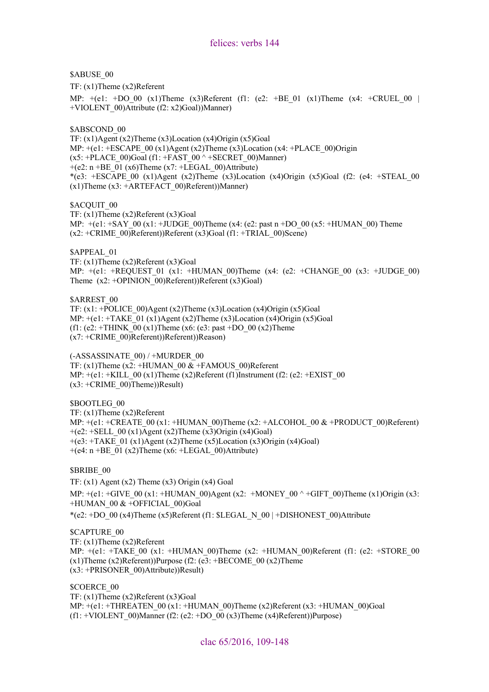\$ABUSE\_00

TF: (x1)Theme (x2)Referent

MP: +(e1: +DO\_00 (x1)Theme (x3)Referent (f1: (e2: +BE\_01 (x1)Theme (x4: +CRUEL\_00 | +VIOLENT\_00)Attribute (f2: x2)Goal))Manner)

\$ABSCOND 00

TF: (x1)Agent (x2)Theme (x3)Location (x4)Origin (x5)Goal MP:  $+(e1: +ESCAPE_00 (x1)Agent (x2)Then (x3)Location (x4: +PLACE_00)Origin$  $(x5: +PLACE$  00)Goal (f1: +FAST\_00  $\land$  +SECRET\_00)Manner)  $+(e2: n + BE_01 (x6)$ Theme  $(x7: +LEGAL_00)$ Attribute) \*(e3: +ESCAPE\_00 (x1)Agent (x2)Theme (x3)Location (x4)Origin (x5)Goal (f2: (e4: +STEAL\_00  $(x1)$ Theme  $(x3: +ARTEFACT_00)$ Referent))Manner)

\$ACQUIT\_00

TF: (x1)Theme (x2)Referent (x3)Goal MP:  $+(e1: +SAY 00 (x1: +JUDGE 00)$ Theme  $(x4: (e2: past n +DO 00 (x5: +HUMAN 00)$  Theme  $(x2: +CRIME_00)$ Referent))Referent  $(x3)Goal (f1: +TRIAL_00)Scene)$ 

\$APPEAL\_01

TF: (x1)Theme (x2)Referent (x3)Goal MP:  $+(e1: +REQUEST_01 (x1: +HUMAN_00)Theme (x4: (e2: +CHANGE_00 (x3: +JUDGE_00))$ Theme  $(x2: +OPINION 00)$ Referent))Referent  $(x3)Goal$ 

\$ARREST\_00

TF:  $(x1: +POLICE 00)$ Agent  $(x2)$ Theme  $(x3)$ Location  $(x4)$ Origin  $(x5)$ Goal MP:  $+(e1: +TAKE_01 (x1)Agent (x2)Then (x3)Location (x4)Original(x5)Goal$ (f1: (e2: +THINK\_00 (x1)Theme (x6: (e3: past +DO\_00 (x2)Theme (x7: +CRIME\_00)Referent))Referent))Reason)

(-ASSASSINATE\_00) / +MURDER\_00 TF:  $(x1)$ Theme  $(x2)$ : +HUMAN 00  $\&$  +FAMOUS 00)Referent MP:  $+(e1: +KILL_00 (x1)$ Theme  $(x2)$ Referent (f1)Instrument (f2: (e2: +EXIST 00  $(x3: +CRIME_00)$ Theme))Result)

\$BOOTLEG\_00 TF: (x1)Theme (x2)Referent MP:  $+(e1: +CREATE 00 (x1: +HUMAN 00)$ Theme (x2: +ALCOHOL 00 & +PRODUCT 00)Referent)  $+(e2: + SELL_00 (x1)Agent (x2)Then (x3)Original(x4)Goal)$  $+(e3: +TAKE_01 (x1)Agent (x2)Then (x5)Location (x3)Original(x4)Goal)$  $+(e4: n + BE_01 (x2)$ Theme (x6: +LEGAL 00)Attribute)

#### \$BRIBE\_00

TF:  $(x1)$  Agent  $(x2)$  Theme  $(x3)$  Origin  $(x4)$  Goal MP:  $+(e1: +GIVE 00 (x1: +HUMAN 00)Agent (x2: +MONEY 00 ^ +GIFT 00)Then (x1)Origin (x3:$ +HUMAN\_00 & +OFFICIAL\_00)Goal

\*(e2: +DO\_00 (x4)Theme (x5)Referent (f1:  $SLEGAL$  N\_00 | +DISHONEST\_00)Attribute

\$CAPTURE\_00

TF: (x1)Theme (x2)Referent MP:  $+(e1: +TAKE_00 (x1: +HUMAN_00)$ Theme (x2:  $+HUMAN_00)$ Referent (f1: (e2:  $+STORE_00$  $(x1)$ Theme  $(x2)$ Referent))Purpose (f2: (e3: +BECOME 00  $(x2)$ Theme (x3: +PRISONER\_00)Attribute))Result)

\$COERCE\_00 TF: (x1)Theme (x2)Referent (x3)Goal MP:  $+(e1: +THREATEN 00 (x1: +HUMAN 00)Then (x2)Referent (x3: +HUMAN 00)Goal$ (f1: +VIOLENT\_00)Manner (f2: (e2: +DO\_00 (x3)Theme (x4)Referent))Purpose)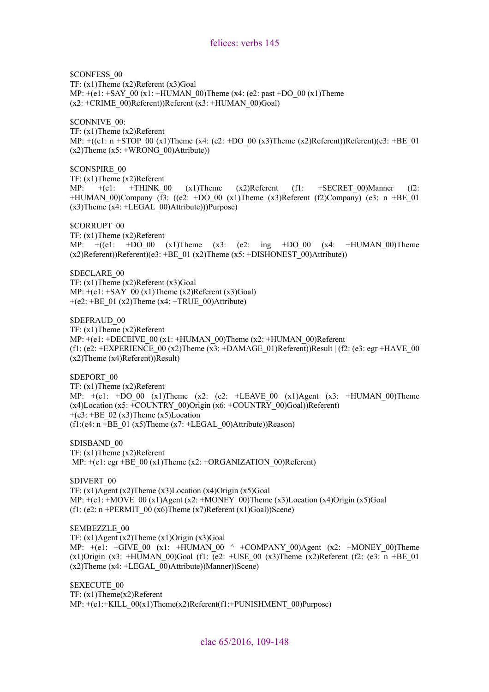\$CONFESS\_00 TF: (x1)Theme (x2)Referent (x3)Goal MP:  $+(e1: +SAY \ 00 (x1: +HUMAN \ 00)$ Theme (x4: (e2: past +DO 00 (x1)Theme (x2: +CRIME\_00)Referent))Referent (x3: +HUMAN\_00)Goal)

\$CONNIVE\_00:

TF: (x1)Theme (x2)Referent MP:  $+(e1: n + STOP 00 (x1)$ Theme  $(x4: (e2: +DO 00 (x3)$ Theme  $(x2)$ Referent))Referent) $(e3: +BE 01)$  $(x2)$ Theme  $(x5: +WRONG_00)$ Attribute))

\$CONSPIRE\_00 TF: (x1)Theme (x2)Referent MP:  $+(e1: +THINK_00 \t (x1)$ Theme  $(x2)$ Referent (f1:  $+SECRET_00)$ Manner (f2: +HUMAN\_00)Company (f3: ((e2: +DO\_00 (x1)Theme (x3)Referent (f2)Company) (e3: n +BE\_01  $(x3)$ Theme  $(x4: +LEGAL_00)$ Attribute)))Purpose)

\$CORRUPT\_00

TF: (x1)Theme (x2)Referent MP:  $+(e1: +DO_00 (x1)')$ Theme  $(x3: (e2: ing +DO_00 (x4: +HUMAN_0))')$ Theme  $(x2)$ Referent))Referent)(e3: +BE\_01 (x2)Theme (x5: +DISHONEST\_00)Attribute))

\$DECLARE\_00 TF: (x1)Theme (x2)Referent (x3)Goal MP:  $+(e1: +SAY \ 00 \ (x1)$ Theme  $(x2)$ Referent  $(x3)$ Goal)  $+(e2: +BE_01 (x2)$ Theme  $(x4: +TRUE_00)$ Attribute)

\$DEFRAUD\_00 TF: (x1)Theme (x2)Referent MP:  $+(e1: +DECEIVE 00 (x1: +HUMAN 00)$ Theme (x2:  $+HUMAN 00)$ Referent (f1: (e2: +EXPERIENCE\_00 (x2)Theme (x3: +DAMAGE\_01)Referent))Result  $| (f2:(e3):$  egr +HAVE\_00 (x2)Theme (x4)Referent))Result)

\$DEPORT\_00

TF: (x1)Theme (x2)Referent MP:  $+(e1: +DO_00 (x1)$ Theme  $(x2: (e2: +LEAVE_00 (x1)Agent (x3: +HUMAN_00)$ Theme  $(x4)$ Location  $(x5: +COUNTRY$  00)Origin  $(x6: +COUNTRY$  00)Goal))Referent)  $+(e3: +BE_02(x3))$ Theme (x5)Location  $(f1:(e4: n + BE_01 (x5)Then (x7: +LEGAL_00)$ Attribute))Reason)

\$DISBAND\_00 TF: (x1)Theme (x2)Referent MP:  $+(e1: egr + BE_00 (x1)$ Theme (x2:  $+ORGANIZATION_00)$ Referent)

\$DIVERT\_00 TF:  $(x1)$ Agent  $(x2)$ Theme  $(x3)$ Location  $(x4)$ Origin  $(x5)$ Goal MP:  $+(e1: +Move_0)$  (x1)Agent (x2:  $+MONEY_0$ )Theme (x3)Location (x4)Origin (x5)Goal (f1: (e2: n +PERMIT\_00 (x6)Theme (x7)Referent (x1)Goal))Scene)

\$EMBEZZLE\_00

TF:  $(x1)$ Agent  $(x2)$ Theme  $(x1)$ Origin  $(x3)$ Goal MP:  $+(e1: +GIVE 00 (x1: +HUMAN 00 ^ + +COMPANY 00)$ Agent (x2:  $+MONEY 00)$ Theme  $(x1)$ Origin  $(x3: +HUMAN 00)Goal (f1: (e2: +USE 00 (x3)Then (x2)Referent (f2: (e3: n +BE 01))$  $(x2)$ Theme  $(x4: +LEGAL_00)$ Attribute))Manner))Scene)

\$EXECUTE\_00 TF: (x1)Theme(x2)Referent MP: +(e1:+KILL\_00(x1)Theme(x2)Referent(f1:+PUNISHMENT\_00)Purpose)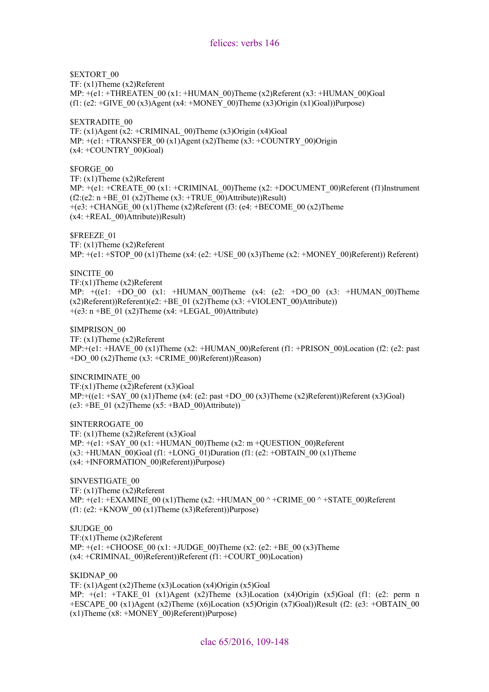\$EXTORT 00

TF: (x1)Theme (x2)Referent

MP:  $+(e1: +THREATEN 00 (x1: +HUMAN 00)Then (x2)Referent (x3: +HUMAN 00)Goal$ (f1: (e2: +GIVE\_00 (x3)Agent (x4: +MONEY\_00)Theme (x3)Origin (x1)Goal))Purpose)

\$EXTRADITE\_00

TF:  $(x1)$ Agent  $(x2)$ : +CRIMINAL 00)Theme  $(x3)$ Origin  $(x4)$ Goal MP:  $+(e1: +TRANSFER_00 (x1)Agent (x2)Thene (x3: +COUNTRY_00)Origin$  $(x4: +COUNTRY$  00)Goal)

\$FORGE\_00

TF: (x1)Theme (x2)Referent

MP:  $+(e1: +CREATE \ 00 \times 1: +CRIMINAL \ 00)$ Theme  $(x2: +DOCIMENT \ 00)$ Referent (f1)Instrument  $(f2:(e2: n + BE_01 (x2))$ Theme  $(x3: +TRUE_00)$ Attribute))Result) +(e3: +CHANGE\_00 (x1)Theme (x2)Referent (f3: (e4: +BECOME\_00 (x2)Theme  $(x4: +REAL_00)$ Attribute))Result)

\$FREEZE\_01

TF: (x1)Theme (x2)Referent

MP:  $+(e1: +STOP\_00 (x1)$ Theme (x4: (e2:  $+USE\_00 (x3)$ Theme (x2:  $+MONEY\_00)$ Referent)) Referent)

\$INCITE\_00

TF:(x1)Theme (x2)Referent MP:  $+(e1: +DO_00 (x1: +HUMAN_00)$ Theme  $(x4: (e2: +DO_00 (x3: +HUMAN_00))$ Theme  $(x2)$ Referent))Referent)(e2: +BE\_01 (x2)Theme (x3: +VIOLENT\_00)Attribute))  $+(e3: n + BE_01 (x2)$ Theme (x4: +LEGAL 00)Attribute)

\$IMPRISON\_00 TF: (x1)Theme (x2)Referent MP:+(e1: +HAVE\_00 (x1)Theme (x2: +HUMAN\_00)Referent (f1: +PRISON\_00)Location (f2: (e2: past  $+DO_{00} (x2)$ Theme  $(x3: +CRIME_{00})$ Referent))Reason)

\$INCRIMINATE\_00  $TF:(x1)$ Theme  $(x2)$ Referent  $(x3)$ Goal  $MP:+(e1: +SAY 00 (x1)$ Theme (x4: (e2: past +DO 00 (x3)Theme (x2)Referent))Referent (x3)Goal)  $(e3: +BE_01 (x2)$ Theme  $(x5: +BAD_00)$ Attribute))

\$INTERROGATE\_00 TF: (x1)Theme (x2)Referent (x3)Goal MP: +(e1: +SAY\_00 (x1: +HUMAN\_00)Theme (x2: m +QUESTION\_00)Referent  $(x3: +HUMAN_00)$ Goal (f1:  $+LONG_01)$ Duration (f1: (e2:  $+OBTAIN_00 (x1)$ Theme (x4: +INFORMATION\_00)Referent))Purpose)

\$INVESTIGATE\_00 TF: (x1)Theme (x2)Referent MP:  $+(e1: +EXAMPLEXAMINE_00 (x1)$ Theme (x2:  $+HUMAN_00^+ +CRIME_00^+ +STATE_00)$ Referent (f1: (e2:  $+$ KNOW 00 (x1)Theme (x3)Referent))Purpose)

\$JUDGE\_00 TF:(x1)Theme (x2)Referent MP:  $+(e1: +CHOOSE_00 (x1: +JUDGE_00)$ Theme (x2: (e2: +BE\_00 (x3)Theme (x4: +CRIMINAL\_00)Referent))Referent (f1: +COURT\_00)Location)

\$KIDNAP\_00

TF: (x1)Agent (x2)Theme (x3)Location (x4)Origin (x5)Goal MP:  $+(e1: +TAKE_0)(x1)$ Agent (x2)Theme (x3)Location (x4)Origin (x5)Goal (f1: (e2: perm n +ESCAPE 00 (x1)Agent (x2)Theme (x6)Location (x5)Origin (x7)Goal))Result (f2: (e3: +OBTAIN 00  $(x1)$ Theme  $(x8: +MONEY_00)$ Referent))Purpose)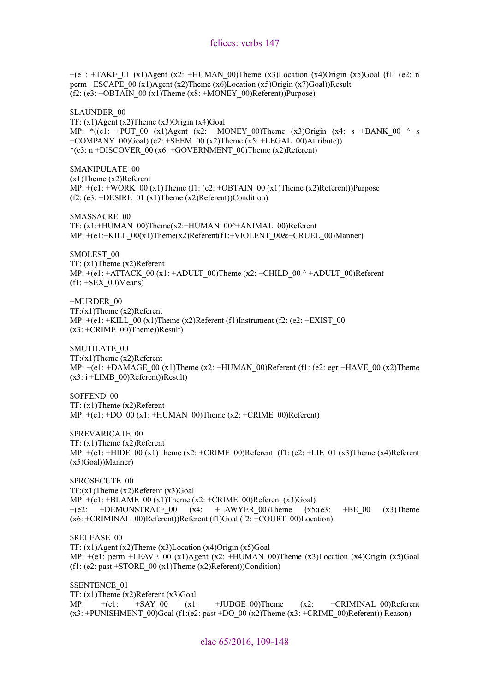$+(e1: +TAKE_01 (x1)Agent (x2: +HUMAN_00)Then (x3)Location (x4)Original (x5)Goal (f1: (e2: n$ perm +ESCAPE\_00 (x1)Agent (x2)Theme (x6)Location (x5)Origin (x7)Goal))Result  $(f2: (e3: +OBTAIN 00 (x1))$ Theme  $(x8: +MONEY 00)$ Referent))Purpose)

\$LAUNDER\_00 TF: (x1)Agent (x2)Theme (x3)Origin (x4)Goal MP: \* $((e1: +PUT 00 (x1)Agent (x2: +MONEY 00)Then (x3)Original (x4: s +BANK 00 ^ s$  $+COMPANY$  00)Goal) (e2:  $+SEEM$  00 (x2)Theme (x5:  $+LEGAL$  00)Attribute))  $*(e3: n + DISCOVER_00 (x6: +GOVERNMENT_00)Then (x2)Referent)$ 

\$MANIPULATE\_00 (x1)Theme (x2)Referent MP:  $+(e1: +WORK_00 (x1)$ Theme (f1: (e2: +OBTAIN 00 (x1)Theme (x2)Referent))Purpose  $(f2: (e3: + DESIRE 01 (x1))$ Theme  $(x2)$ Referent))Condition)

\$MASSACRE\_00 TF: (x1:+HUMAN\_00)Theme(x2:+HUMAN\_00^+ANIMAL\_00)Referent MP:  $+(e1.+KILL_00(x1)Thene(x2)Referent(f1.+VIOLENT_00&+CRUEL_00)Manner)$ 

\$MOLEST\_00 TF: (x1)Theme (x2)Referent MP:  $+(e1: +ATTACK \ 00 \ (x1: +ADULT \ 00)$ Theme (x2: +CHILD  $00 \wedge +ADULT \ 00)$ Referent  $(f1: +SEX_00)$ Means)

+MURDER\_00 TF:(x1)Theme (x2)Referent MP:  $+(e1: +KILL_00 (x1)$ Theme (x2)Referent (f1)Instrument (f2: (e2: +EXIST\_00  $(x3: +CRIME_00)$ Theme))Result)

\$MUTILATE\_00 TF:(x1)Theme (x2)Referent MP:  $+(e1: +DAMAGE_00 (x1)$ Theme (x2:  $+HUMAN_00)$ Referent (f1: (e2: egr  $+HAVE_00 (x2)$ Theme  $(x3: i + LIMB_00)$ Referent))Result)

\$OFFEND\_00 TF: (x1)Theme (x2)Referent MP:  $+(e1: +DO_00 (x1: +HUMAN_00)$ Theme (x2:  $+CRIME_00)$ Referent)

\$PREVARICATE\_00 TF: (x1)Theme (x2)Referent MP:  $+(e1: +HIDE 00 (x1)$ Theme (x2:  $+CRIME 00)$ Referent (f1: (e2:  $+LIE 01 (x3)$ Theme (x4)Referent (x5)Goal))Manner)

\$PROSECUTE\_00  $TF:(x1)$ Theme  $(x2)$ Referent  $(x3)$ Goal MP:  $+(e1: +BLAME\_00 (x1)$ Theme (x2:  $+CRIME\_00)$ Referent (x3)Goal)  $+(e2: +DEMONSTRATE\ 00$  (x4:  $+LAWYER\ 00)$ Theme (x5:(e3:  $+BE\ 00$  (x3)Theme  $(x6: +CRIMINAL_00)$ Referent))Referent (f1)Goal (f2:  $+COURT_00)$ Location)

\$RELEASE\_00 TF: (x1)Agent (x2)Theme (x3)Location (x4)Origin (x5)Goal MP:  $+(e1:$  perm +LEAVE 00 (x1)Agent (x2: +HUMAN 00)Theme (x3)Location (x4)Origin (x5)Goal (f1: (e2: past +STORE  $00 \overline{(x1)}$ Theme (x2)Referent))Condition)

\$SENTENCE\_01 TF: (x1)Theme (x2)Referent (x3)Goal MP:  $+(e1: +SAY_00)$  (x1:  $+JUDGE_00)$ Theme (x2:  $+CRIMINAL_00)$ Referent  $(x3: +$ PUNISHMENT 00)Goal (f1:(e2: past +DO 00 (x2)Theme  $(x3: +$ CRIME 00)Referent)) Reason)

clac 65/2016, 109-148